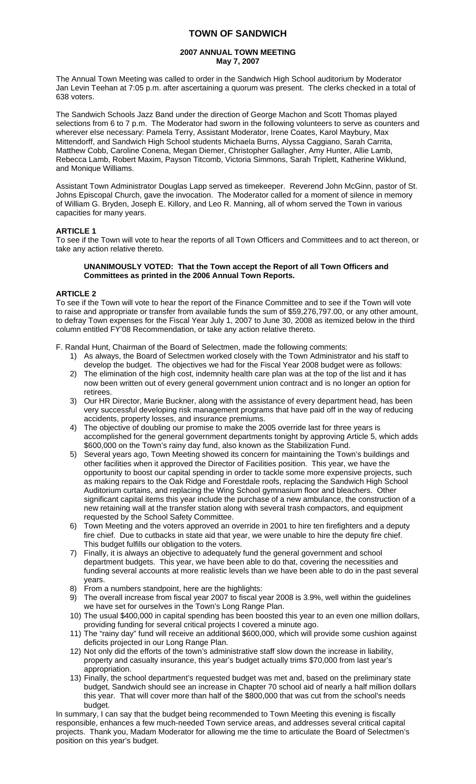# **TOWN OF SANDWICH**

# **2007 ANNUAL TOWN MEETING May 7, 2007**

The Annual Town Meeting was called to order in the Sandwich High School auditorium by Moderator Jan Levin Teehan at 7:05 p.m. after ascertaining a quorum was present. The clerks checked in a total of 638 voters.

The Sandwich Schools Jazz Band under the direction of George Machon and Scott Thomas played selections from 6 to 7 p.m. The Moderator had sworn in the following volunteers to serve as counters and wherever else necessary: Pamela Terry, Assistant Moderator, Irene Coates, Karol Maybury, Max Mittendorff, and Sandwich High School students Michaela Burns, Alyssa Caggiano, Sarah Carrita, Matthew Cobb, Caroline Conena, Megan Diemer, Christopher Gallagher, Amy Hunter, Allie Lamb, Rebecca Lamb, Robert Maxim, Payson Titcomb, Victoria Simmons, Sarah Triplett, Katherine Wiklund, and Monique Williams.

Assistant Town Administrator Douglas Lapp served as timekeeper. Reverend John McGinn, pastor of St. Johns Episcopal Church, gave the invocation. The Moderator called for a moment of silence in memory of William G. Bryden, Joseph E. Killory, and Leo R. Manning, all of whom served the Town in various capacities for many years.

# **ARTICLE 1**

To see if the Town will vote to hear the reports of all Town Officers and Committees and to act thereon, or take any action relative thereto.

# **UNANIMOUSLY VOTED: That the Town accept the Report of all Town Officers and Committees as printed in the 2006 Annual Town Reports.**

# **ARTICLE 2**

To see if the Town will vote to hear the report of the Finance Committee and to see if the Town will vote to raise and appropriate or transfer from available funds the sum of \$59,276,797.00, or any other amount, to defray Town expenses for the Fiscal Year July 1, 2007 to June 30, 2008 as itemized below in the third column entitled FY'08 Recommendation, or take any action relative thereto.

F. Randal Hunt, Chairman of the Board of Selectmen, made the following comments:

- 1) As always, the Board of Selectmen worked closely with the Town Administrator and his staff to develop the budget. The objectives we had for the Fiscal Year 2008 budget were as follows:
- 2) The elimination of the high cost, indemnity health care plan was at the top of the list and it has now been written out of every general government union contract and is no longer an option for retirees.
- 3) Our HR Director, Marie Buckner, along with the assistance of every department head, has been very successful developing risk management programs that have paid off in the way of reducing accidents, property losses, and insurance premiums.
- 4) The objective of doubling our promise to make the 2005 override last for three years is accomplished for the general government departments tonight by approving Article 5, which adds \$600,000 on the Town's rainy day fund, also known as the Stabilization Fund.
- 5) Several years ago, Town Meeting showed its concern for maintaining the Town's buildings and other facilities when it approved the Director of Facilities position. This year, we have the opportunity to boost our capital spending in order to tackle some more expensive projects, such as making repairs to the Oak Ridge and Forestdale roofs, replacing the Sandwich High School Auditorium curtains, and replacing the Wing School gymnasium floor and bleachers. Other significant capital items this year include the purchase of a new ambulance, the construction of a new retaining wall at the transfer station along with several trash compactors, and equipment requested by the School Safety Committee.
- 6) Town Meeting and the voters approved an override in 2001 to hire ten firefighters and a deputy fire chief. Due to cutbacks in state aid that year, we were unable to hire the deputy fire chief. This budget fulfills our obligation to the voters.
- 7) Finally, it is always an objective to adequately fund the general government and school department budgets. This year, we have been able to do that, covering the necessities and funding several accounts at more realistic levels than we have been able to do in the past several years.
- 8) From a numbers standpoint, here are the highlights:
- 9) The overall increase from fiscal year 2007 to fiscal year 2008 is 3.9%, well within the guidelines we have set for ourselves in the Town's Long Range Plan.
- 10) The usual \$400,000 in capital spending has been boosted this year to an even one million dollars, providing funding for several critical projects I covered a minute ago.
- 11) The "rainy day" fund will receive an additional \$600,000, which will provide some cushion against deficits projected in our Long Range Plan.
- 12) Not only did the efforts of the town's administrative staff slow down the increase in liability, property and casualty insurance, this year's budget actually trims \$70,000 from last year's appropriation.
- 13) Finally, the school department's requested budget was met and, based on the preliminary state budget, Sandwich should see an increase in Chapter 70 school aid of nearly a half million dollars this year. That will cover more than half of the \$800,000 that was cut from the school's needs budget.

In summary, I can say that the budget being recommended to Town Meeting this evening is fiscally responsible, enhances a few much-needed Town service areas, and addresses several critical capital projects. Thank you, Madam Moderator for allowing me the time to articulate the Board of Selectmen's position on this year's budget.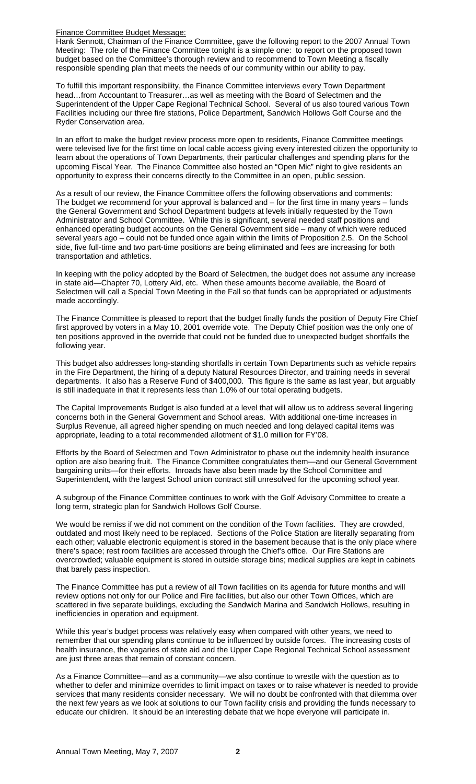Finance Committee Budget Message:

Hank Sennott, Chairman of the Finance Committee, gave the following report to the 2007 Annual Town Meeting: The role of the Finance Committee tonight is a simple one: to report on the proposed town budget based on the Committee's thorough review and to recommend to Town Meeting a fiscally responsible spending plan that meets the needs of our community within our ability to pay.

To fulfill this important responsibility, the Finance Committee interviews every Town Department head…from Accountant to Treasurer…as well as meeting with the Board of Selectmen and the Superintendent of the Upper Cape Regional Technical School. Several of us also toured various Town Facilities including our three fire stations, Police Department, Sandwich Hollows Golf Course and the Ryder Conservation area.

In an effort to make the budget review process more open to residents, Finance Committee meetings were televised live for the first time on local cable access giving every interested citizen the opportunity to learn about the operations of Town Departments, their particular challenges and spending plans for the upcoming Fiscal Year. The Finance Committee also hosted an "Open Mic" night to give residents an opportunity to express their concerns directly to the Committee in an open, public session.

As a result of our review, the Finance Committee offers the following observations and comments: The budget we recommend for your approval is balanced and  $-$  for the first time in many years  $-$  funds the General Government and School Department budgets at levels initially requested by the Town Administrator and School Committee. While this is significant, several needed staff positions and enhanced operating budget accounts on the General Government side – many of which were reduced several years ago – could not be funded once again within the limits of Proposition 2.5. On the School side, five full-time and two part-time positions are being eliminated and fees are increasing for both transportation and athletics.

In keeping with the policy adopted by the Board of Selectmen, the budget does not assume any increase in state aid—Chapter 70, Lottery Aid, etc. When these amounts become available, the Board of Selectmen will call a Special Town Meeting in the Fall so that funds can be appropriated or adjustments made accordingly.

The Finance Committee is pleased to report that the budget finally funds the position of Deputy Fire Chief first approved by voters in a May 10, 2001 override vote. The Deputy Chief position was the only one of ten positions approved in the override that could not be funded due to unexpected budget shortfalls the following year.

This budget also addresses long-standing shortfalls in certain Town Departments such as vehicle repairs in the Fire Department, the hiring of a deputy Natural Resources Director, and training needs in several departments. It also has a Reserve Fund of \$400,000. This figure is the same as last year, but arguably is still inadequate in that it represents less than 1.0% of our total operating budgets.

The Capital Improvements Budget is also funded at a level that will allow us to address several lingering concerns both in the General Government and School areas. With additional one-time increases in Surplus Revenue, all agreed higher spending on much needed and long delayed capital items was appropriate, leading to a total recommended allotment of \$1.0 million for FY'08.

Efforts by the Board of Selectmen and Town Administrator to phase out the indemnity health insurance option are also bearing fruit. The Finance Committee congratulates them—and our General Government bargaining units—for their efforts. Inroads have also been made by the School Committee and Superintendent, with the largest School union contract still unresolved for the upcoming school year.

A subgroup of the Finance Committee continues to work with the Golf Advisory Committee to create a long term, strategic plan for Sandwich Hollows Golf Course.

We would be remiss if we did not comment on the condition of the Town facilities. They are crowded, outdated and most likely need to be replaced. Sections of the Police Station are literally separating from each other; valuable electronic equipment is stored in the basement because that is the only place where there's space; rest room facilities are accessed through the Chief's office. Our Fire Stations are overcrowded; valuable equipment is stored in outside storage bins; medical supplies are kept in cabinets that barely pass inspection.

The Finance Committee has put a review of all Town facilities on its agenda for future months and will review options not only for our Police and Fire facilities, but also our other Town Offices, which are scattered in five separate buildings, excluding the Sandwich Marina and Sandwich Hollows, resulting in inefficiencies in operation and equipment.

While this year's budget process was relatively easy when compared with other years, we need to remember that our spending plans continue to be influenced by outside forces. The increasing costs of health insurance, the vagaries of state aid and the Upper Cape Regional Technical School assessment are just three areas that remain of constant concern.

As a Finance Committee—and as a community—we also continue to wrestle with the question as to whether to defer and minimize overrides to limit impact on taxes or to raise whatever is needed to provide services that many residents consider necessary. We will no doubt be confronted with that dilemma over the next few years as we look at solutions to our Town facility crisis and providing the funds necessary to educate our children. It should be an interesting debate that we hope everyone will participate in.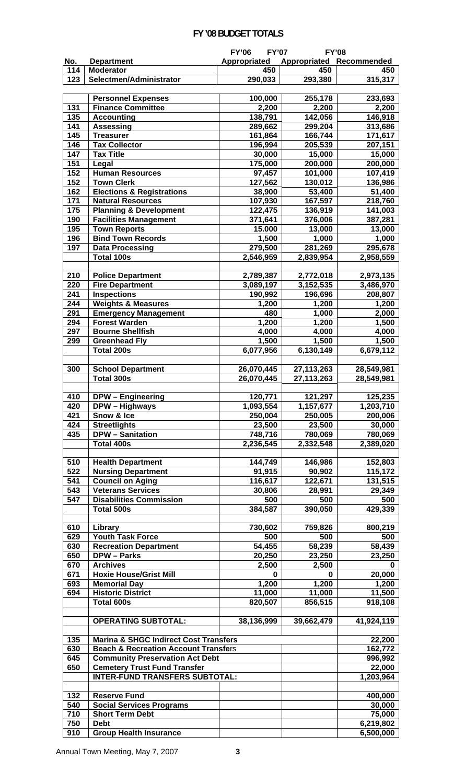# **FY '08 BUDGET TOTALS**

|                         |                                                      | <b>FY'06</b><br><b>FY'07</b> |                    | <b>FY'08</b>       |
|-------------------------|------------------------------------------------------|------------------------------|--------------------|--------------------|
| No.                     | <b>Department</b>                                    | Appropriated                 | Appropriated       | Recommended        |
| 114                     | <b>Moderator</b>                                     | 450                          | 450                | 450                |
| 123                     | Selectmen/Administrator                              | 290,033                      | 293,380            | 315,317            |
|                         |                                                      |                              |                    |                    |
|                         | <b>Personnel Expenses</b>                            | 100,000                      | 255,178            | 233,693            |
| 131                     | <b>Finance Committee</b>                             | 2,200                        | 2,200              | 2,200              |
| 135<br>$\overline{141}$ | <b>Accounting</b>                                    | 138,791                      | 142,056            | 146,918            |
| 145                     | <b>Assessing</b><br><b>Treasurer</b>                 | 289,662<br>161,864           | 299,204<br>166,744 | 313,686<br>171,617 |
| 146                     | <b>Tax Collector</b>                                 | 196,994                      | 205,539            | 207,151            |
| 147                     | <b>Tax Title</b>                                     | 30,000                       | 15,000             | 15,000             |
| 151                     | Legal                                                | 175,000                      | 200,000            | 200,000            |
| 152                     | <b>Human Resources</b>                               | 97,457                       | 101,000            | 107,419            |
| 152                     | <b>Town Clerk</b>                                    | 127,562                      | 130,012            | 136,986            |
| 162                     | <b>Elections &amp; Registrations</b>                 | 38,900                       | 53,400             | 51,400             |
| 171                     | <b>Natural Resources</b>                             | 107,930                      | 167,597            | 218,760            |
| 175                     | <b>Planning &amp; Development</b>                    | 122,475                      | 136,919            | 141,003            |
| 190                     | <b>Facilities Management</b>                         | 371,641                      | 376,006            | 387,281            |
| 195                     | <b>Town Reports</b>                                  | 15.000                       | 13,000             | 13,000             |
| 196                     | <b>Bind Town Records</b>                             | 1,500                        | 1,000              | 1,000              |
| 197                     | <b>Data Processing</b>                               | 279,500                      | 281,269            | 295,678            |
|                         | Total 100s                                           | 2,546,959                    | 2,839,954          | 2,958,559          |
|                         |                                                      |                              |                    |                    |
| 210                     | <b>Police Department</b>                             | 2,789,387                    | 2,772,018          | 2,973,135          |
| 220                     | <b>Fire Department</b>                               | 3,089,197                    | 3,152,535          | 3,486,970          |
| 241                     | <b>Inspections</b>                                   | 190,992                      | 196,696            | 208,807            |
| 244                     | <b>Weights &amp; Measures</b>                        | 1,200                        | 1,200              | 1,200              |
| 291                     | <b>Emergency Management</b>                          | 480                          | 1,000              | 2,000              |
| 294                     | <b>Forest Warden</b>                                 | 1,200                        | 1,200              | 1,500              |
| 297                     | <b>Bourne Shellfish</b>                              | 4,000                        | 4,000              | 4,000              |
| 299                     | <b>Greenhead Fly</b>                                 | 1,500                        | 1,500              | 1,500              |
|                         | Total 200s                                           | 6,077,956                    | 6,130,149          | 6,679,112          |
| 300                     | <b>School Department</b>                             | 26,070,445                   | 27, 113, 263       | 28,549,981         |
|                         | Total 300s                                           | 26,070,445                   | 27,113,263         | 28,549,981         |
|                         |                                                      |                              |                    |                    |
| 410                     | <b>DPW</b> - Engineering                             | 120,771                      | 121,297            | 125,235            |
| 420                     | DPW - Highways                                       | 1,093,554                    | 1,157,677          | 1,203,710          |
| 421                     | Snow & Ice                                           | 250,004                      | 250,005            | 200,006            |
| 424                     | <b>Streetlights</b>                                  | 23,500                       | 23,500             | 30,000             |
| 435                     | <b>DPW</b> - Sanitation                              | 748,716                      | 780,069            | 780,069            |
|                         | <b>Total 400s</b>                                    | 2,236,545                    | 2,332,548          | 2,389,020          |
|                         |                                                      |                              |                    |                    |
| 510                     | <b>Health Department</b>                             | 144,749                      | 146,986            | 152,803            |
| 522                     | <b>Nursing Department</b>                            | 91,915                       | 90,902             | 115,172            |
| 541                     | <b>Council on Aging</b>                              | 116,617                      | 122,671            | 131,515            |
| 543                     | <b>Veterans Services</b>                             | 30,806                       | 28,991             | 29,349             |
| 547                     | <b>Disabilities Commission</b>                       | 500                          | 500                | 500                |
|                         | Total 500s                                           | 384,587                      | 390,050            | 429,339            |
|                         |                                                      |                              |                    |                    |
| 610                     | Library                                              | 730,602                      | 759,826            | 800,219            |
| 629                     | <b>Youth Task Force</b>                              | 500                          | 500                | 500                |
| 630                     | <b>Recreation Department</b>                         | 54,455                       | 58,239             | 58,439             |
| 650                     | <b>DPW - Parks</b>                                   | 20,250                       | 23,250             | 23,250             |
| 670                     | <b>Archives</b>                                      | 2,500                        | 2,500              | 0                  |
| 671<br>693              | <b>Hoxie House/Grist Mill</b><br><b>Memorial Day</b> | 0<br>1,200                   | 0<br>1,200         | 20,000<br>1,200    |
| 694                     | <b>Historic District</b>                             | 11,000                       | 11,000             | 11,500             |
|                         | Total 600s                                           | 820,507                      | 856,515            | 918,108            |
|                         |                                                      |                              |                    |                    |
|                         | <b>OPERATING SUBTOTAL:</b>                           | 38,136,999                   | 39,662,479         | 41,924,119         |
|                         |                                                      |                              |                    |                    |
| 135                     | <b>Marina &amp; SHGC Indirect Cost Transfers</b>     |                              |                    | 22,200             |
| 630                     | <b>Beach &amp; Recreation Account Transfers</b>      |                              |                    | 162,772            |
| 645                     | <b>Community Preservation Act Debt</b>               |                              |                    | 996,992            |
| 650                     | <b>Cemetery Trust Fund Transfer</b>                  |                              |                    | 22,000             |
|                         | <b>INTER-FUND TRANSFERS SUBTOTAL:</b>                |                              |                    | 1,203,964          |
|                         |                                                      |                              |                    |                    |
| 132                     | <b>Reserve Fund</b>                                  |                              |                    | 400,000            |
| 540                     | <b>Social Services Programs</b>                      |                              |                    | 30,000             |
| 710                     | <b>Short Term Debt</b>                               |                              |                    | 75,000             |
| 750                     | <b>Debt</b>                                          |                              |                    | 6,219,802          |
| 910                     | <b>Group Health Insurance</b>                        |                              |                    | 6,500,000          |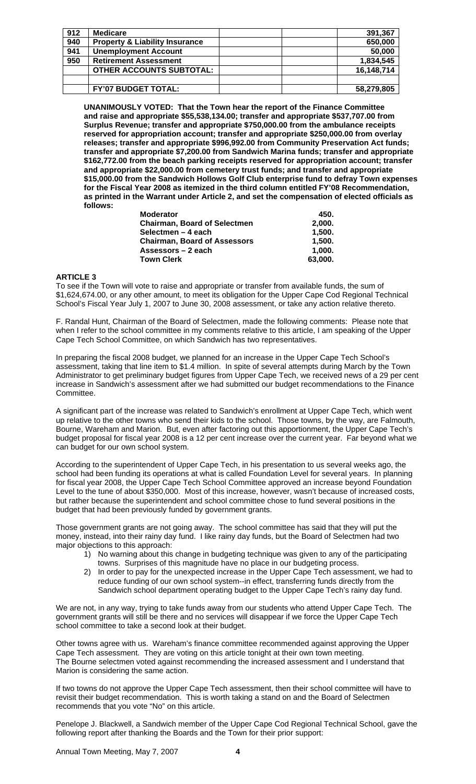| 912 | <b>Medicare</b>                           | 391,367    |
|-----|-------------------------------------------|------------|
| 940 | <b>Property &amp; Liability Insurance</b> | 650,000    |
| 941 | <b>Unemployment Account</b>               | 50,000     |
| 950 | <b>Retirement Assessment</b>              | 1,834,545  |
|     | <b>OTHER ACCOUNTS SUBTOTAL:</b>           | 16,148,714 |
|     |                                           |            |
|     | <b>FY'07 BUDGET TOTAL:</b>                | 58,279,805 |

**UNANIMOUSLY VOTED: That the Town hear the report of the Finance Committee and raise and appropriate \$55,538,134.00; transfer and appropriate \$537,707.00 from Surplus Revenue; transfer and appropriate \$750,000.00 from the ambulance receipts reserved for appropriation account; transfer and appropriate \$250,000.00 from overlay releases; transfer and appropriate \$996,992.00 from Community Preservation Act funds; transfer and appropriate \$7,200.00 from Sandwich Marina funds; transfer and appropriate \$162,772.00 from the beach parking receipts reserved for appropriation account; transfer and appropriate \$22,000.00 from cemetery trust funds; and transfer and appropriate \$15,000.00 from the Sandwich Hollows Golf Club enterprise fund to defray Town expenses for the Fiscal Year 2008 as itemized in the third column entitled FY'08 Recommendation, as printed in the Warrant under Article 2, and set the compensation of elected officials as follows:** 

| <b>Moderator</b>                    | 450.    |
|-------------------------------------|---------|
| <b>Chairman, Board of Selectmen</b> | 2,000.  |
| Selectmen - 4 each                  | 1.500.  |
| <b>Chairman, Board of Assessors</b> | 1.500.  |
| Assessors – 2 each                  | 1.000.  |
| <b>Town Clerk</b>                   | 63.000. |

### **ARTICLE 3**

To see if the Town will vote to raise and appropriate or transfer from available funds, the sum of \$1,624,674.00, or any other amount, to meet its obligation for the Upper Cape Cod Regional Technical School's Fiscal Year July 1, 2007 to June 30, 2008 assessment, or take any action relative thereto.

F. Randal Hunt, Chairman of the Board of Selectmen, made the following comments: Please note that when I refer to the school committee in my comments relative to this article, I am speaking of the Upper Cape Tech School Committee, on which Sandwich has two representatives.

In preparing the fiscal 2008 budget, we planned for an increase in the Upper Cape Tech School's assessment, taking that line item to \$1.4 million. In spite of several attempts during March by the Town Administrator to get preliminary budget figures from Upper Cape Tech, we received news of a 29 per cent increase in Sandwich's assessment after we had submitted our budget recommendations to the Finance Committee.

A significant part of the increase was related to Sandwich's enrollment at Upper Cape Tech, which went up relative to the other towns who send their kids to the school. Those towns, by the way, are Falmouth, Bourne, Wareham and Marion. But, even after factoring out this apportionment, the Upper Cape Tech's budget proposal for fiscal year 2008 is a 12 per cent increase over the current year. Far beyond what we can budget for our own school system.

According to the superintendent of Upper Cape Tech, in his presentation to us several weeks ago, the school had been funding its operations at what is called Foundation Level for several years. In planning for fiscal year 2008, the Upper Cape Tech School Committee approved an increase beyond Foundation Level to the tune of about \$350,000. Most of this increase, however, wasn't because of increased costs, but rather because the superintendent and school committee chose to fund several positions in the budget that had been previously funded by government grants.

Those government grants are not going away. The school committee has said that they will put the money, instead, into their rainy day fund. I like rainy day funds, but the Board of Selectmen had two major objections to this approach:

- 1) No warning about this change in budgeting technique was given to any of the participating towns. Surprises of this magnitude have no place in our budgeting process.
- 2) In order to pay for the unexpected increase in the Upper Cape Tech assessment, we had to reduce funding of our own school system--in effect, transferring funds directly from the Sandwich school department operating budget to the Upper Cape Tech's rainy day fund.

We are not, in any way, trying to take funds away from our students who attend Upper Cape Tech. The government grants will still be there and no services will disappear if we force the Upper Cape Tech school committee to take a second look at their budget.

Other towns agree with us. Wareham's finance committee recommended against approving the Upper Cape Tech assessment. They are voting on this article tonight at their own town meeting. The Bourne selectmen voted against recommending the increased assessment and I understand that Marion is considering the same action.

If two towns do not approve the Upper Cape Tech assessment, then their school committee will have to revisit their budget recommendation. This is worth taking a stand on and the Board of Selectmen recommends that you vote "No" on this article.

Penelope J. Blackwell, a Sandwich member of the Upper Cape Cod Regional Technical School, gave the following report after thanking the Boards and the Town for their prior support: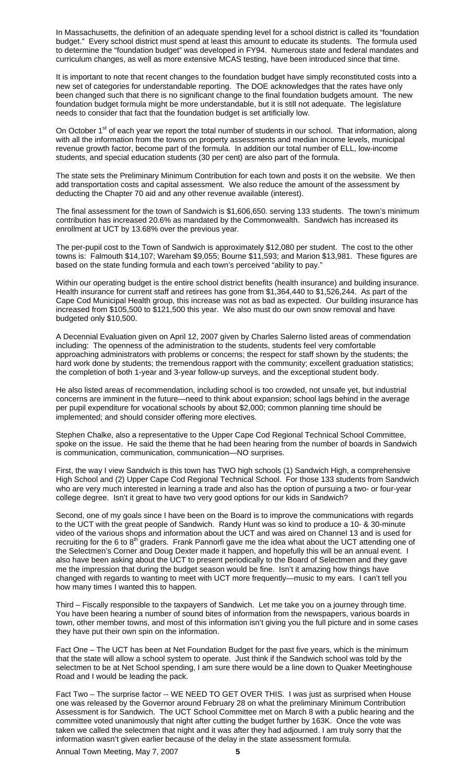In Massachusetts, the definition of an adequate spending level for a school district is called its "foundation budget." Every school district must spend at least this amount to educate its students. The formula used to determine the "foundation budget" was developed in FY94. Numerous state and federal mandates and curriculum changes, as well as more extensive MCAS testing, have been introduced since that time.

It is important to note that recent changes to the foundation budget have simply reconstituted costs into a new set of categories for understandable reporting. The DOE acknowledges that the rates have only been changed such that there is no significant change to the final foundation budgets amount. The new foundation budget formula might be more understandable, but it is still not adequate. The legislature needs to consider that fact that the foundation budget is set artificially low.

On October 1<sup>st</sup> of each year we report the total number of students in our school. That information, along with all the information from the towns on property assessments and median income levels, municipal revenue growth factor, become part of the formula. In addition our total number of ELL, low-income students, and special education students (30 per cent) are also part of the formula.

The state sets the Preliminary Minimum Contribution for each town and posts it on the website. We then add transportation costs and capital assessment. We also reduce the amount of the assessment by deducting the Chapter 70 aid and any other revenue available (interest).

The final assessment for the town of Sandwich is \$1,606,650. serving 133 students. The town's minimum contribution has increased 20.6% as mandated by the Commonwealth. Sandwich has increased its enrollment at UCT by 13.68% over the previous year.

The per-pupil cost to the Town of Sandwich is approximately \$12,080 per student. The cost to the other towns is: Falmouth \$14,107; Wareham \$9,055; Bourne \$11,593; and Marion \$13,981. These figures are based on the state funding formula and each town's perceived "ability to pay."

Within our operating budget is the entire school district benefits (health insurance) and building insurance. Health insurance for current staff and retirees has gone from \$1,364,440 to \$1,526,244. As part of the Cape Cod Municipal Health group, this increase was not as bad as expected. Our building insurance has increased from \$105,500 to \$121,500 this year. We also must do our own snow removal and have budgeted only \$10,500.

A Decennial Evaluation given on April 12, 2007 given by Charles Salerno listed areas of commendation including: The openness of the administration to the students, students feel very comfortable approaching administrators with problems or concerns; the respect for staff shown by the students; the hard work done by students; the tremendous rapport with the community; excellent graduation statistics; the completion of both 1-year and 3-year follow-up surveys, and the exceptional student body.

He also listed areas of recommendation, including school is too crowded, not unsafe yet, but industrial concerns are imminent in the future—need to think about expansion; school lags behind in the average per pupil expenditure for vocational schools by about \$2,000; common planning time should be implemented; and should consider offering more electives.

Stephen Chalke, also a representative to the Upper Cape Cod Regional Technical School Committee, spoke on the issue. He said the theme that he had been hearing from the number of boards in Sandwich is communication, communication, communication—NO surprises.

First, the way I view Sandwich is this town has TWO high schools (1) Sandwich High, a comprehensive High School and (2) Upper Cape Cod Regional Technical School. For those 133 students from Sandwich who are very much interested in learning a trade and also has the option of pursuing a two- or four-year college degree. Isn't it great to have two very good options for our kids in Sandwich?

Second, one of my goals since I have been on the Board is to improve the communications with regards to the UCT with the great people of Sandwich. Randy Hunt was so kind to produce a 10- & 30-minute video of the various shops and information about the UCT and was aired on Channel 13 and is used for recruiting for the 6 to 8<sup>th</sup> graders. Frank Pannorfi gave me the idea what about the UCT attending one of the Selectmen's Corner and Doug Dexter made it happen, and hopefully this will be an annual event. I also have been asking about the UCT to present periodically to the Board of Selectmen and they gave me the impression that during the budget season would be fine. Isn't it amazing how things have changed with regards to wanting to meet with UCT more frequently—music to my ears. I can't tell you how many times I wanted this to happen.

Third – Fiscally responsible to the taxpayers of Sandwich. Let me take you on a journey through time. You have been hearing a number of sound bites of information from the newspapers, various boards in town, other member towns, and most of this information isn't giving you the full picture and in some cases they have put their own spin on the information.

Fact One – The UCT has been at Net Foundation Budget for the past five years, which is the minimum that the state will allow a school system to operate. Just think if the Sandwich school was told by the selectmen to be at Net School spending, I am sure there would be a line down to Quaker Meetinghouse Road and I would be leading the pack.

Fact Two – The surprise factor -- WE NEED TO GET OVER THIS. I was just as surprised when House one was released by the Governor around February 28 on what the preliminary Minimum Contribution Assessment is for Sandwich. The UCT School Committee met on March 8 with a public hearing and the committee voted unanimously that night after cutting the budget further by 163K. Once the vote was taken we called the selectmen that night and it was after they had adjourned. I am truly sorry that the information wasn't given earlier because of the delay in the state assessment formula.

Annual Town Meeting, May 7, 2007 **5**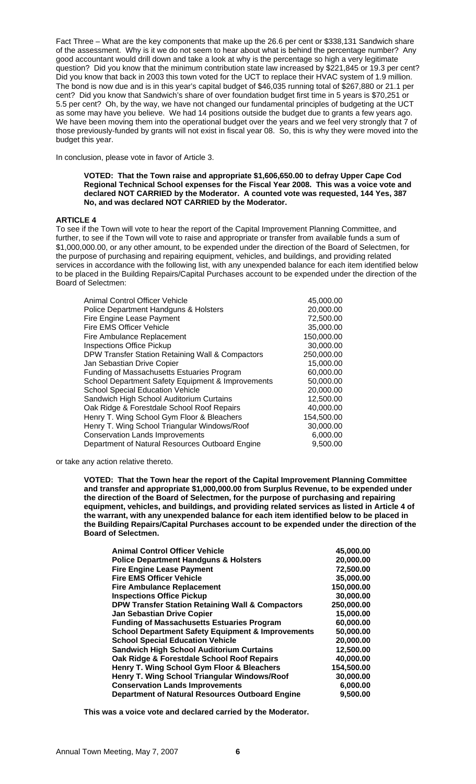Fact Three – What are the key components that make up the 26.6 per cent or \$338,131 Sandwich share of the assessment. Why is it we do not seem to hear about what is behind the percentage number? Any good accountant would drill down and take a look at why is the percentage so high a very legitimate question? Did you know that the minimum contribution state law increased by \$221,845 or 19.3 per cent? Did you know that back in 2003 this town voted for the UCT to replace their HVAC system of 1.9 million. The bond is now due and is in this year's capital budget of \$46,035 running total of \$267,880 or 21.1 per cent? Did you know that Sandwich's share of over foundation budget first time in 5 years is \$70,251 or 5.5 per cent? Oh, by the way, we have not changed our fundamental principles of budgeting at the UCT as some may have you believe. We had 14 positions outside the budget due to grants a few years ago. We have been moving them into the operational budget over the years and we feel very strongly that 7 of those previously-funded by grants will not exist in fiscal year 08. So, this is why they were moved into the budget this year.

In conclusion, please vote in favor of Article 3.

**VOTED: That the Town raise and appropriate \$1,606,650.00 to defray Upper Cape Cod Regional Technical School expenses for the Fiscal Year 2008. This was a voice vote and declared NOT CARRIED by the Moderator. A counted vote was requested, 144 Yes, 387 No, and was declared NOT CARRIED by the Moderator.**

# **ARTICLE 4**

To see if the Town will vote to hear the report of the Capital Improvement Planning Committee, and further, to see if the Town will vote to raise and appropriate or transfer from available funds a sum of \$1,000,000.00, or any other amount, to be expended under the direction of the Board of Selectmen, for the purpose of purchasing and repairing equipment, vehicles, and buildings, and providing related services in accordance with the following list, with any unexpended balance for each item identified below to be placed in the Building Repairs/Capital Purchases account to be expended under the direction of the Board of Selectmen:

| Animal Control Officer Vehicle                    | 45,000.00  |
|---------------------------------------------------|------------|
| Police Department Handguns & Holsters             | 20,000.00  |
| Fire Engine Lease Payment                         | 72,500.00  |
| Fire EMS Officer Vehicle                          | 35,000.00  |
| Fire Ambulance Replacement                        | 150,000.00 |
| <b>Inspections Office Pickup</b>                  | 30,000.00  |
| DPW Transfer Station Retaining Wall & Compactors  | 250,000.00 |
| Jan Sebastian Drive Copier                        | 15,000.00  |
| <b>Funding of Massachusetts Estuaries Program</b> | 60,000.00  |
| School Department Safety Equipment & Improvements | 50,000.00  |
| <b>School Special Education Vehicle</b>           | 20,000.00  |
| Sandwich High School Auditorium Curtains          | 12,500.00  |
| Oak Ridge & Forestdale School Roof Repairs        | 40,000.00  |
| Henry T. Wing School Gym Floor & Bleachers        | 154,500.00 |
| Henry T. Wing School Triangular Windows/Roof      | 30,000.00  |
| <b>Conservation Lands Improvements</b>            | 6,000.00   |
| Department of Natural Resources Outboard Engine   | 9,500.00   |

or take any action relative thereto.

**VOTED: That the Town hear the report of the Capital Improvement Planning Committee and transfer and appropriate \$1,000,000.00 from Surplus Revenue, to be expended under the direction of the Board of Selectmen, for the purpose of purchasing and repairing equipment, vehicles, and buildings, and providing related services as listed in Article 4 of the warrant, with any unexpended balance for each item identified below to be placed in the Building Repairs/Capital Purchases account to be expended under the direction of the Board of Selectmen.** 

| <b>Animal Control Officer Vehicle</b>                        | 45,000.00  |
|--------------------------------------------------------------|------------|
| <b>Police Department Handguns &amp; Holsters</b>             | 20,000.00  |
| <b>Fire Engine Lease Payment</b>                             | 72,500.00  |
| <b>Fire EMS Officer Vehicle</b>                              | 35,000.00  |
| <b>Fire Ambulance Replacement</b>                            | 150,000.00 |
| <b>Inspections Office Pickup</b>                             | 30,000.00  |
| <b>DPW Transfer Station Retaining Wall &amp; Compactors</b>  | 250,000.00 |
| <b>Jan Sebastian Drive Copier</b>                            | 15,000.00  |
| <b>Funding of Massachusetts Estuaries Program</b>            | 60,000.00  |
| <b>School Department Safety Equipment &amp; Improvements</b> | 50,000.00  |
| <b>School Special Education Vehicle</b>                      | 20,000.00  |
| <b>Sandwich High School Auditorium Curtains</b>              | 12,500.00  |
| Oak Ridge & Forestdale School Roof Repairs                   | 40,000.00  |
| Henry T. Wing School Gym Floor & Bleachers                   | 154,500.00 |
| Henry T. Wing School Triangular Windows/Roof                 | 30,000.00  |
| <b>Conservation Lands Improvements</b>                       | 6,000.00   |
| <b>Department of Natural Resources Outboard Engine</b>       | 9,500.00   |
|                                                              |            |

**This was a voice vote and declared carried by the Moderator.**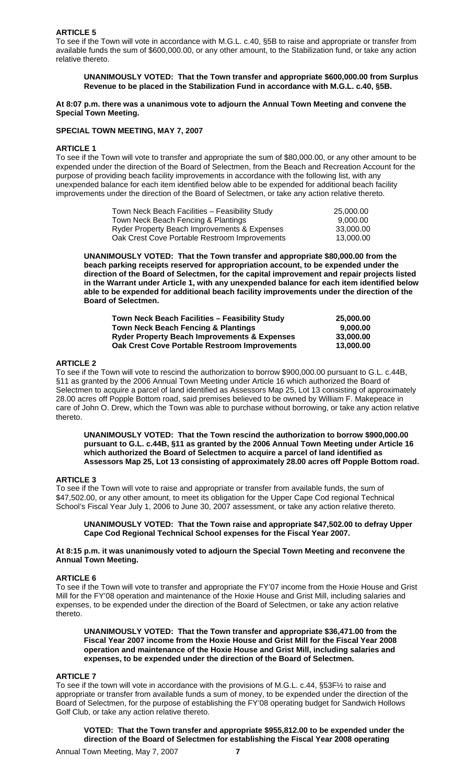# **ARTICLE 5**

To see if the Town will vote in accordance with M.G.L. c.40, §5B to raise and appropriate or transfer from available funds the sum of \$600,000.00, or any other amount, to the Stabilization fund, or take any action relative thereto.

# **UNANIMOUSLY VOTED: That the Town transfer and appropriate \$600,000.00 from Surplus Revenue to be placed in the Stabilization Fund in accordance with M.G.L. c.40, §5B.**

### **At 8:07 p.m. there was a unanimous vote to adjourn the Annual Town Meeting and convene the Special Town Meeting.**

# **SPECIAL TOWN MEETING, MAY 7, 2007**

### **ARTICLE 1**

To see if the Town will vote to transfer and appropriate the sum of \$80,000.00, or any other amount to be expended under the direction of the Board of Selectmen, from the Beach and Recreation Account for the purpose of providing beach facility improvements in accordance with the following list, with any unexpended balance for each item identified below able to be expended for additional beach facility improvements under the direction of the Board of Selectmen, or take any action relative thereto.

| Town Neck Beach Facilities - Feasibility Study | 25.000.00 |
|------------------------------------------------|-----------|
| Town Neck Beach Fencing & Plantings            | 9.000.00  |
| Ryder Property Beach Improvements & Expenses   | 33.000.00 |
| Oak Crest Cove Portable Restroom Improvements  | 13.000.00 |

**UNANIMOUSLY VOTED: That the Town transfer and appropriate \$80,000.00 from the beach parking receipts reserved for appropriation account, to be expended under the direction of the Board of Selectmen, for the capital improvement and repair projects listed in the Warrant under Article 1, with any unexpended balance for each item identified below able to be expended for additional beach facility improvements under the direction of the Board of Selectmen.** 

| Town Neck Beach Facilities - Feasibility Study          | 25,000,00 |
|---------------------------------------------------------|-----------|
| <b>Town Neck Beach Fencing &amp; Plantings</b>          | 9.000.00  |
| <b>Ryder Property Beach Improvements &amp; Expenses</b> | 33,000,00 |
| <b>Oak Crest Cove Portable Restroom Improvements</b>    | 13,000,00 |

# **ARTICLE 2**

To see if the Town will vote to rescind the authorization to borrow \$900,000.00 pursuant to G.L. c.44B, §11 as granted by the 2006 Annual Town Meeting under Article 16 which authorized the Board of Selectmen to acquire a parcel of land identified as Assessors Map 25, Lot 13 consisting of approximately 28.00 acres off Popple Bottom road, said premises believed to be owned by William F. Makepeace in care of John O. Drew, which the Town was able to purchase without borrowing, or take any action relative thereto.

**UNANIMOUSLY VOTED: That the Town rescind the authorization to borrow \$900,000.00 pursuant to G.L. c.44B, §11 as granted by the 2006 Annual Town Meeting under Article 16 which authorized the Board of Selectmen to acquire a parcel of land identified as Assessors Map 25, Lot 13 consisting of approximately 28.00 acres off Popple Bottom road.** 

### **ARTICLE 3**

To see if the Town will vote to raise and appropriate or transfer from available funds, the sum of \$47,502.00, or any other amount, to meet its obligation for the Upper Cape Cod regional Technical School's Fiscal Year July 1, 2006 to June 30, 2007 assessment, or take any action relative thereto.

### **UNANIMOUSLY VOTED: That the Town raise and appropriate \$47,502.00 to defray Upper Cape Cod Regional Technical School expenses for the Fiscal Year 2007.**

### **At 8:15 p.m. it was unanimously voted to adjourn the Special Town Meeting and reconvene the Annual Town Meeting.**

# **ARTICLE 6**

To see if the Town will vote to transfer and appropriate the FY'07 income from the Hoxie House and Grist Mill for the FY'08 operation and maintenance of the Hoxie House and Grist Mill, including salaries and expenses, to be expended under the direction of the Board of Selectmen, or take any action relative thereto.

**UNANIMOUSLY VOTED: That the Town transfer and appropriate \$36,471.00 from the Fiscal Year 2007 income from the Hoxie House and Grist Mill for the Fiscal Year 2008 operation and maintenance of the Hoxie House and Grist Mill, including salaries and expenses, to be expended under the direction of the Board of Selectmen.**

### **ARTICLE 7**

To see if the town will vote in accordance with the provisions of M.G.L. c.44, §53F½ to raise and appropriate or transfer from available funds a sum of money, to be expended under the direction of the Board of Selectmen, for the purpose of establishing the FY'08 operating budget for Sandwich Hollows Golf Club, or take any action relative thereto.

**VOTED: That the Town transfer and appropriate \$955,812.00 to be expended under the direction of the Board of Selectmen for establishing the Fiscal Year 2008 operating**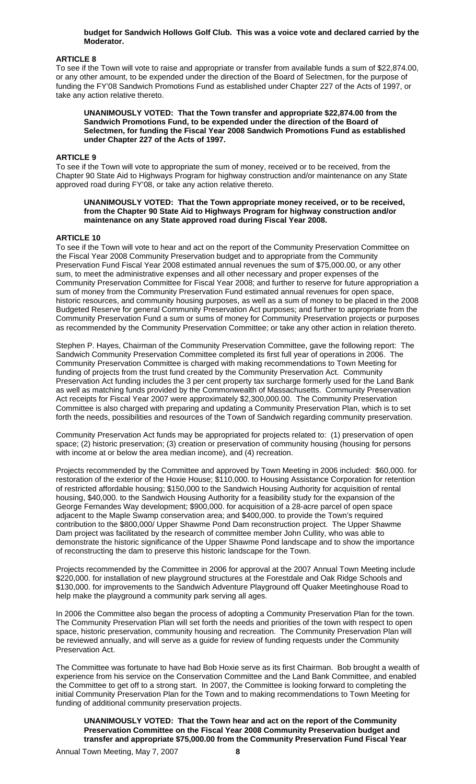### **budget for Sandwich Hollows Golf Club. This was a voice vote and declared carried by the Moderator.**

# **ARTICLE 8**

To see if the Town will vote to raise and appropriate or transfer from available funds a sum of \$22,874.00, or any other amount, to be expended under the direction of the Board of Selectmen, for the purpose of funding the FY'08 Sandwich Promotions Fund as established under Chapter 227 of the Acts of 1997, or take any action relative thereto.

**UNANIMOUSLY VOTED: That the Town transfer and appropriate \$22,874.00 from the Sandwich Promotions Fund, to be expended under the direction of the Board of Selectmen, for funding the Fiscal Year 2008 Sandwich Promotions Fund as established under Chapter 227 of the Acts of 1997.** 

### **ARTICLE 9**

To see if the Town will vote to appropriate the sum of money, received or to be received, from the Chapter 90 State Aid to Highways Program for highway construction and/or maintenance on any State approved road during FY'08, or take any action relative thereto.

#### **UNANIMOUSLY VOTED: That the Town appropriate money received, or to be received, from the Chapter 90 State Aid to Highways Program for highway construction and/or maintenance on any State approved road during Fiscal Year 2008.**

# **ARTICLE 10**

To see if the Town will vote to hear and act on the report of the Community Preservation Committee on the Fiscal Year 2008 Community Preservation budget and to appropriate from the Community Preservation Fund Fiscal Year 2008 estimated annual revenues the sum of \$75,000.00, or any other sum, to meet the administrative expenses and all other necessary and proper expenses of the Community Preservation Committee for Fiscal Year 2008; and further to reserve for future appropriation a sum of money from the Community Preservation Fund estimated annual revenues for open space, historic resources, and community housing purposes, as well as a sum of money to be placed in the 2008 Budgeted Reserve for general Community Preservation Act purposes; and further to appropriate from the Community Preservation Fund a sum or sums of money for Community Preservation projects or purposes as recommended by the Community Preservation Committee; or take any other action in relation thereto.

Stephen P. Hayes, Chairman of the Community Preservation Committee, gave the following report: The Sandwich Community Preservation Committee completed its first full year of operations in 2006. The Community Preservation Committee is charged with making recommendations to Town Meeting for funding of projects from the trust fund created by the Community Preservation Act. Community Preservation Act funding includes the 3 per cent property tax surcharge formerly used for the Land Bank as well as matching funds provided by the Commonwealth of Massachusetts. Community Preservation Act receipts for Fiscal Year 2007 were approximately \$2,300,000.00. The Community Preservation Committee is also charged with preparing and updating a Community Preservation Plan, which is to set forth the needs, possibilities and resources of the Town of Sandwich regarding community preservation.

Community Preservation Act funds may be appropriated for projects related to: (1) preservation of open space; (2) historic preservation; (3) creation or preservation of community housing (housing for persons with income at or below the area median income), and (4) recreation.

Projects recommended by the Committee and approved by Town Meeting in 2006 included: \$60,000. for restoration of the exterior of the Hoxie House; \$110,000. to Housing Assistance Corporation for retention of restricted affordable housing; \$150,000 to the Sandwich Housing Authority for acquisition of rental housing, \$40,000. to the Sandwich Housing Authority for a feasibility study for the expansion of the George Fernandes Way development; \$900,000. for acquisition of a 28-acre parcel of open space adjacent to the Maple Swamp conservation area; and \$400,000. to provide the Town's required contribution to the \$800,000/ Upper Shawme Pond Dam reconstruction project. The Upper Shawme Dam project was facilitated by the research of committee member John Cullity, who was able to demonstrate the historic significance of the Upper Shawme Pond landscape and to show the importance of reconstructing the dam to preserve this historic landscape for the Town.

Projects recommended by the Committee in 2006 for approval at the 2007 Annual Town Meeting include \$220,000. for installation of new playground structures at the Forestdale and Oak Ridge Schools and \$130,000. for improvements to the Sandwich Adventure Playground off Quaker Meetinghouse Road to help make the playground a community park serving all ages.

In 2006 the Committee also began the process of adopting a Community Preservation Plan for the town. The Community Preservation Plan will set forth the needs and priorities of the town with respect to open space, historic preservation, community housing and recreation. The Community Preservation Plan will be reviewed annually, and will serve as a guide for review of funding requests under the Community Preservation Act.

The Committee was fortunate to have had Bob Hoxie serve as its first Chairman. Bob brought a wealth of experience from his service on the Conservation Committee and the Land Bank Committee, and enabled the Committee to get off to a strong start. In 2007, the Committee is looking forward to completing the initial Community Preservation Plan for the Town and to making recommendations to Town Meeting for funding of additional community preservation projects.

**UNANIMOUSLY VOTED: That the Town hear and act on the report of the Community Preservation Committee on the Fiscal Year 2008 Community Preservation budget and transfer and appropriate \$75,000.00 from the Community Preservation Fund Fiscal Year** 

Annual Town Meeting, May 7, 2007 **8**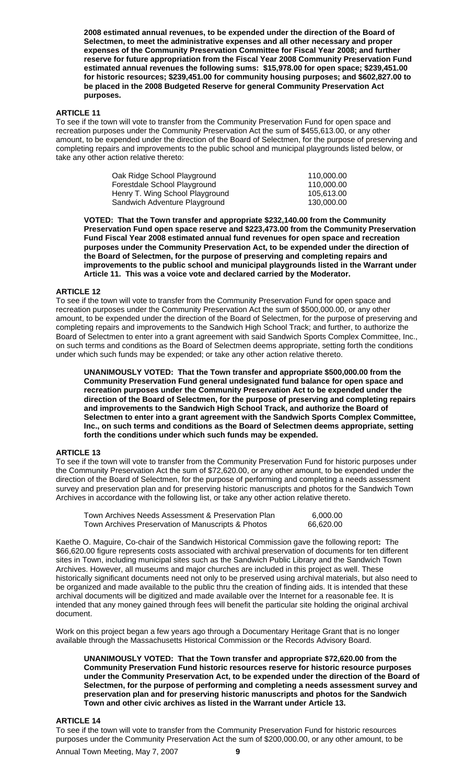**2008 estimated annual revenues, to be expended under the direction of the Board of Selectmen, to meet the administrative expenses and all other necessary and proper expenses of the Community Preservation Committee for Fiscal Year 2008; and further reserve for future appropriation from the Fiscal Year 2008 Community Preservation Fund estimated annual revenues the following sums: \$15,978.00 for open space; \$239,451.00 for historic resources; \$239,451.00 for community housing purposes; and \$602,827.00 to be placed in the 2008 Budgeted Reserve for general Community Preservation Act purposes.** 

# **ARTICLE 11**

To see if the town will vote to transfer from the Community Preservation Fund for open space and recreation purposes under the Community Preservation Act the sum of \$455,613.00, or any other amount, to be expended under the direction of the Board of Selectmen, for the purpose of preserving and completing repairs and improvements to the public school and municipal playgrounds listed below, or take any other action relative thereto:

| Oak Ridge School Playground     | 110.000.00 |
|---------------------------------|------------|
| Forestdale School Playground    | 110.000.00 |
| Henry T. Wing School Playground | 105.613.00 |
| Sandwich Adventure Playground   | 130.000.00 |

**VOTED: That the Town transfer and appropriate \$232,140.00 from the Community Preservation Fund open space reserve and \$223,473.00 from the Community Preservation Fund Fiscal Year 2008 estimated annual fund revenues for open space and recreation purposes under the Community Preservation Act, to be expended under the direction of the Board of Selectmen, for the purpose of preserving and completing repairs and improvements to the public school and municipal playgrounds listed in the Warrant under Article 11. This was a voice vote and declared carried by the Moderator.** 

### **ARTICLE 12**

To see if the town will vote to transfer from the Community Preservation Fund for open space and recreation purposes under the Community Preservation Act the sum of \$500,000.00, or any other amount, to be expended under the direction of the Board of Selectmen, for the purpose of preserving and completing repairs and improvements to the Sandwich High School Track; and further, to authorize the Board of Selectmen to enter into a grant agreement with said Sandwich Sports Complex Committee, Inc., on such terms and conditions as the Board of Selectmen deems appropriate, setting forth the conditions under which such funds may be expended; or take any other action relative thereto.

**UNANIMOUSLY VOTED: That the Town transfer and appropriate \$500,000.00 from the Community Preservation Fund general undesignated fund balance for open space and recreation purposes under the Community Preservation Act to be expended under the direction of the Board of Selectmen, for the purpose of preserving and completing repairs and improvements to the Sandwich High School Track, and authorize the Board of Selectmen to enter into a grant agreement with the Sandwich Sports Complex Committee, Inc., on such terms and conditions as the Board of Selectmen deems appropriate, setting forth the conditions under which such funds may be expended.** 

# **ARTICLE 13**

To see if the town will vote to transfer from the Community Preservation Fund for historic purposes under the Community Preservation Act the sum of \$72,620.00, or any other amount, to be expended under the direction of the Board of Selectmen, for the purpose of performing and completing a needs assessment survey and preservation plan and for preserving historic manuscripts and photos for the Sandwich Town Archives in accordance with the following list, or take any other action relative thereto.

| Town Archives Needs Assessment & Preservation Plan | 6,000.00  |
|----------------------------------------------------|-----------|
| Town Archives Preservation of Manuscripts & Photos | 66,620.00 |

Kaethe O. Maguire, Co-chair of the Sandwich Historical Commission gave the following report**:** The \$66,620.00 figure represents costs associated with archival preservation of documents for ten different sites in Town, including municipal sites such as the Sandwich Public Library and the Sandwich Town Archives. However, all museums and major churches are included in this project as well. These historically significant documents need not only to be preserved using archival materials, but also need to be organized and made available to the public thru the creation of finding aids. It is intended that these archival documents will be digitized and made available over the Internet for a reasonable fee. It is intended that any money gained through fees will benefit the particular site holding the original archival document.

Work on this project began a few years ago through a Documentary Heritage Grant that is no longer available through the Massachusetts Historical Commission or the Records Advisory Board.

**UNANIMOUSLY VOTED: That the Town transfer and appropriate \$72,620.00 from the Community Preservation Fund historic resources reserve for historic resource purposes under the Community Preservation Act, to be expended under the direction of the Board of Selectmen, for the purpose of performing and completing a needs assessment survey and preservation plan and for preserving historic manuscripts and photos for the Sandwich Town and other civic archives as listed in the Warrant under Article 13.** 

### **ARTICLE 14**

To see if the town will vote to transfer from the Community Preservation Fund for historic resources purposes under the Community Preservation Act the sum of \$200,000.00, or any other amount, to be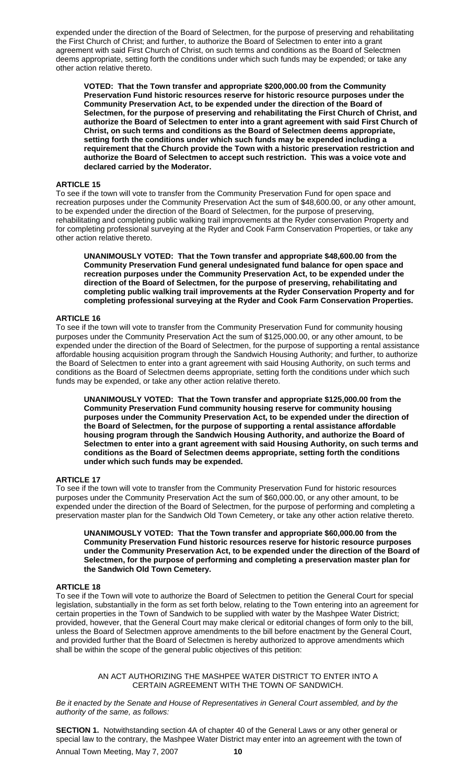expended under the direction of the Board of Selectmen, for the purpose of preserving and rehabilitating the First Church of Christ; and further, to authorize the Board of Selectmen to enter into a grant agreement with said First Church of Christ, on such terms and conditions as the Board of Selectmen deems appropriate, setting forth the conditions under which such funds may be expended; or take any other action relative thereto.

**VOTED: That the Town transfer and appropriate \$200,000.00 from the Community Preservation Fund historic resources reserve for historic resource purposes under the Community Preservation Act, to be expended under the direction of the Board of Selectmen, for the purpose of preserving and rehabilitating the First Church of Christ, and authorize the Board of Selectmen to enter into a grant agreement with said First Church of Christ, on such terms and conditions as the Board of Selectmen deems appropriate, setting forth the conditions under which such funds may be expended including a requirement that the Church provide the Town with a historic preservation restriction and authorize the Board of Selectmen to accept such restriction. This was a voice vote and declared carried by the Moderator.** 

# **ARTICLE 15**

To see if the town will vote to transfer from the Community Preservation Fund for open space and recreation purposes under the Community Preservation Act the sum of \$48,600.00, or any other amount, to be expended under the direction of the Board of Selectmen, for the purpose of preserving, rehabilitating and completing public walking trail improvements at the Ryder conservation Property and for completing professional surveying at the Ryder and Cook Farm Conservation Properties, or take any other action relative thereto.

**UNANIMOUSLY VOTED: That the Town transfer and appropriate \$48,600.00 from the Community Preservation Fund general undesignated fund balance for open space and recreation purposes under the Community Preservation Act, to be expended under the direction of the Board of Selectmen, for the purpose of preserving, rehabilitating and completing public walking trail improvements at the Ryder Conservation Property and for completing professional surveying at the Ryder and Cook Farm Conservation Properties.** 

# **ARTICLE 16**

To see if the town will vote to transfer from the Community Preservation Fund for community housing purposes under the Community Preservation Act the sum of \$125,000.00, or any other amount, to be expended under the direction of the Board of Selectmen, for the purpose of supporting a rental assistance affordable housing acquisition program through the Sandwich Housing Authority; and further, to authorize the Board of Selectmen to enter into a grant agreement with said Housing Authority, on such terms and conditions as the Board of Selectmen deems appropriate, setting forth the conditions under which such funds may be expended, or take any other action relative thereto.

**UNANIMOUSLY VOTED: That the Town transfer and appropriate \$125,000.00 from the Community Preservation Fund community housing reserve for community housing purposes under the Community Preservation Act, to be expended under the direction of the Board of Selectmen, for the purpose of supporting a rental assistance affordable housing program through the Sandwich Housing Authority, and authorize the Board of Selectmen to enter into a grant agreement with said Housing Authority, on such terms and conditions as the Board of Selectmen deems appropriate, setting forth the conditions under which such funds may be expended.** 

### **ARTICLE 17**

To see if the town will vote to transfer from the Community Preservation Fund for historic resources purposes under the Community Preservation Act the sum of \$60,000.00, or any other amount, to be expended under the direction of the Board of Selectmen, for the purpose of performing and completing a preservation master plan for the Sandwich Old Town Cemetery, or take any other action relative thereto.

**UNANIMOUSLY VOTED: That the Town transfer and appropriate \$60,000.00 from the Community Preservation Fund historic resources reserve for historic resource purposes under the Community Preservation Act, to be expended under the direction of the Board of Selectmen, for the purpose of performing and completing a preservation master plan for the Sandwich Old Town Cemetery.** 

# **ARTICLE 18**

To see if the Town will vote to authorize the Board of Selectmen to petition the General Court for special legislation, substantially in the form as set forth below, relating to the Town entering into an agreement for certain properties in the Town of Sandwich to be supplied with water by the Mashpee Water District; provided, however, that the General Court may make clerical or editorial changes of form only to the bill, unless the Board of Selectmen approve amendments to the bill before enactment by the General Court, and provided further that the Board of Selectmen is hereby authorized to approve amendments which shall be within the scope of the general public objectives of this petition:

> AN ACT AUTHORIZING THE MASHPEE WATER DISTRICT TO ENTER INTO A CERTAIN AGREEMENT WITH THE TOWN OF SANDWICH.

*Be it enacted by the Senate and House of Representatives in General Court assembled, and by the authority of the same, as follows:* 

Annual Town Meeting, May 7, 2007 **10 SECTION 1.** Notwithstanding section 4A of chapter 40 of the General Laws or any other general or special law to the contrary, the Mashpee Water District may enter into an agreement with the town of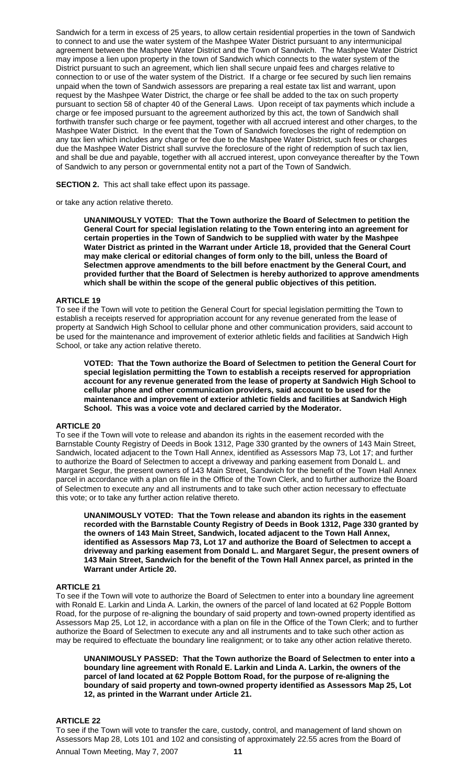Sandwich for a term in excess of 25 years, to allow certain residential properties in the town of Sandwich to connect to and use the water system of the Mashpee Water District pursuant to any intermunicipal agreement between the Mashpee Water District and the Town of Sandwich. The Mashpee Water District may impose a lien upon property in the town of Sandwich which connects to the water system of the District pursuant to such an agreement, which lien shall secure unpaid fees and charges relative to connection to or use of the water system of the District. If a charge or fee secured by such lien remains unpaid when the town of Sandwich assessors are preparing a real estate tax list and warrant, upon request by the Mashpee Water District, the charge or fee shall be added to the tax on such property pursuant to section 58 of chapter 40 of the General Laws. Upon receipt of tax payments which include a charge or fee imposed pursuant to the agreement authorized by this act, the town of Sandwich shall forthwith transfer such charge or fee payment, together with all accrued interest and other charges, to the Mashpee Water District. In the event that the Town of Sandwich forecloses the right of redemption on any tax lien which includes any charge or fee due to the Mashpee Water District, such fees or charges due the Mashpee Water District shall survive the foreclosure of the right of redemption of such tax lien, and shall be due and payable, together with all accrued interest, upon conveyance thereafter by the Town of Sandwich to any person or governmental entity not a part of the Town of Sandwich.

**SECTION 2.** This act shall take effect upon its passage.

or take any action relative thereto.

**UNANIMOUSLY VOTED: That the Town authorize the Board of Selectmen to petition the General Court for special legislation relating to the Town entering into an agreement for certain properties in the Town of Sandwich to be supplied with water by the Mashpee Water District as printed in the Warrant under Article 18, provided that the General Court may make clerical or editorial changes of form only to the bill, unless the Board of Selectmen approve amendments to the bill before enactment by the General Court, and provided further that the Board of Selectmen is hereby authorized to approve amendments which shall be within the scope of the general public objectives of this petition.** 

# **ARTICLE 19**

To see if the Town will vote to petition the General Court for special legislation permitting the Town to establish a receipts reserved for appropriation account for any revenue generated from the lease of property at Sandwich High School to cellular phone and other communication providers, said account to be used for the maintenance and improvement of exterior athletic fields and facilities at Sandwich High School, or take any action relative thereto.

**VOTED: That the Town authorize the Board of Selectmen to petition the General Court for special legislation permitting the Town to establish a receipts reserved for appropriation account for any revenue generated from the lease of property at Sandwich High School to cellular phone and other communication providers, said account to be used for the maintenance and improvement of exterior athletic fields and facilities at Sandwich High School. This was a voice vote and declared carried by the Moderator.** 

### **ARTICLE 20**

To see if the Town will vote to release and abandon its rights in the easement recorded with the Barnstable County Registry of Deeds in Book 1312, Page 330 granted by the owners of 143 Main Street, Sandwich, located adjacent to the Town Hall Annex, identified as Assessors Map 73, Lot 17; and further to authorize the Board of Selectmen to accept a driveway and parking easement from Donald L. and Margaret Segur, the present owners of 143 Main Street, Sandwich for the benefit of the Town Hall Annex parcel in accordance with a plan on file in the Office of the Town Clerk, and to further authorize the Board of Selectmen to execute any and all instruments and to take such other action necessary to effectuate this vote; or to take any further action relative thereto.

**UNANIMOUSLY VOTED: That the Town release and abandon its rights in the easement recorded with the Barnstable County Registry of Deeds in Book 1312, Page 330 granted by the owners of 143 Main Street, Sandwich, located adjacent to the Town Hall Annex, identified as Assessors Map 73, Lot 17 and authorize the Board of Selectmen to accept a driveway and parking easement from Donald L. and Margaret Segur, the present owners of 143 Main Street, Sandwich for the benefit of the Town Hall Annex parcel, as printed in the Warrant under Article 20.** 

## **ARTICLE 21**

To see if the Town will vote to authorize the Board of Selectmen to enter into a boundary line agreement with Ronald E. Larkin and Linda A. Larkin, the owners of the parcel of land located at 62 Popple Bottom Road, for the purpose of re-aligning the boundary of said property and town-owned property identified as Assessors Map 25, Lot 12, in accordance with a plan on file in the Office of the Town Clerk; and to further authorize the Board of Selectmen to execute any and all instruments and to take such other action as may be required to effectuate the boundary line realignment; or to take any other action relative thereto.

**UNANIMOUSLY PASSED: That the Town authorize the Board of Selectmen to enter into a boundary line agreement with Ronald E. Larkin and Linda A. Larkin, the owners of the parcel of land located at 62 Popple Bottom Road, for the purpose of re-aligning the boundary of said property and town-owned property identified as Assessors Map 25, Lot 12, as printed in the Warrant under Article 21.** 

### **ARTICLE 22**

To see if the Town will vote to transfer the care, custody, control, and management of land shown on Assessors Map 28, Lots 101 and 102 and consisting of approximately 22.55 acres from the Board of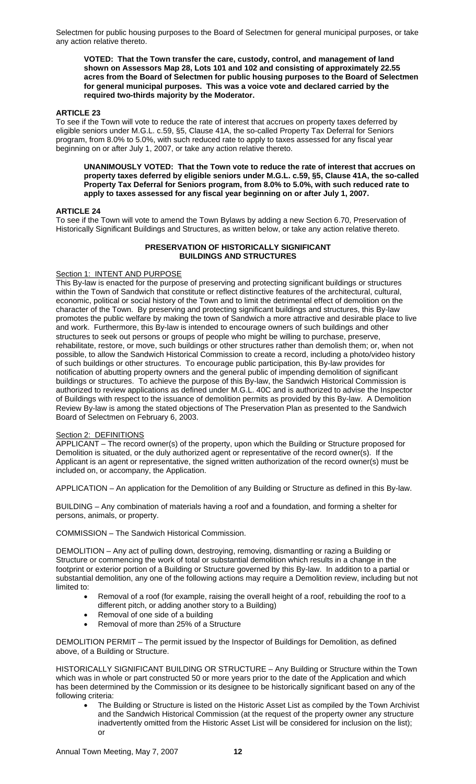Selectmen for public housing purposes to the Board of Selectmen for general municipal purposes, or take any action relative thereto.

**VOTED: That the Town transfer the care, custody, control, and management of land shown on Assessors Map 28, Lots 101 and 102 and consisting of approximately 22.55 acres from the Board of Selectmen for public housing purposes to the Board of Selectmen for general municipal purposes. This was a voice vote and declared carried by the required two-thirds majority by the Moderator.** 

# **ARTICLE 23**

To see if the Town will vote to reduce the rate of interest that accrues on property taxes deferred by eligible seniors under M.G.L. c.59, §5, Clause 41A, the so-called Property Tax Deferral for Seniors program, from 8.0% to 5.0%, with such reduced rate to apply to taxes assessed for any fiscal year beginning on or after July 1, 2007, or take any action relative thereto.

**UNANIMOUSLY VOTED: That the Town vote to reduce the rate of interest that accrues on property taxes deferred by eligible seniors under M.G.L. c.59, §5, Clause 41A, the so-called Property Tax Deferral for Seniors program, from 8.0% to 5.0%, with such reduced rate to apply to taxes assessed for any fiscal year beginning on or after July 1, 2007.** 

### **ARTICLE 24**

To see if the Town will vote to amend the Town Bylaws by adding a new Section 6.70, Preservation of Historically Significant Buildings and Structures, as written below, or take any action relative thereto.

# **PRESERVATION OF HISTORICALLY SIGNIFICANT BUILDINGS AND STRUCTURES**

### Section 1: INTENT AND PURPOSE

This By-law is enacted for the purpose of preserving and protecting significant buildings or structures within the Town of Sandwich that constitute or reflect distinctive features of the architectural, cultural, economic, political or social history of the Town and to limit the detrimental effect of demolition on the character of the Town. By preserving and protecting significant buildings and structures, this By-law promotes the public welfare by making the town of Sandwich a more attractive and desirable place to live and work. Furthermore, this By-law is intended to encourage owners of such buildings and other structures to seek out persons or groups of people who might be willing to purchase, preserve, rehabilitate, restore, or move, such buildings or other structures rather than demolish them; or, when not possible, to allow the Sandwich Historical Commission to create a record, including a photo/video history of such buildings or other structures. To encourage public participation, this By-law provides for notification of abutting property owners and the general public of impending demolition of significant buildings or structures. To achieve the purpose of this By-law, the Sandwich Historical Commission is authorized to review applications as defined under M.G.L. 40C and is authorized to advise the Inspector of Buildings with respect to the issuance of demolition permits as provided by this By-law. A Demolition Review By-law is among the stated objections of The Preservation Plan as presented to the Sandwich Board of Selectmen on February 6, 2003.

# Section 2: DEFINITIONS

APPLICANT – The record owner(s) of the property, upon which the Building or Structure proposed for Demolition is situated, or the duly authorized agent or representative of the record owner(s). If the Applicant is an agent or representative, the signed written authorization of the record owner(s) must be included on, or accompany, the Application.

APPLICATION – An application for the Demolition of any Building or Structure as defined in this By-law.

BUILDING – Any combination of materials having a roof and a foundation, and forming a shelter for persons, animals, or property.

COMMISSION – The Sandwich Historical Commission.

DEMOLITION – Any act of pulling down, destroying, removing, dismantling or razing a Building or Structure or commencing the work of total or substantial demolition which results in a change in the footprint or exterior portion of a Building or Structure governed by this By-law. In addition to a partial or substantial demolition, any one of the following actions may require a Demolition review, including but not limited to:

- Removal of a roof (for example, raising the overall height of a roof, rebuilding the roof to a different pitch, or adding another story to a Building)
- Removal of one side of a building
- Removal of more than 25% of a Structure

DEMOLITION PERMIT – The permit issued by the Inspector of Buildings for Demolition, as defined above, of a Building or Structure.

HISTORICALLY SIGNIFICANT BUILDING OR STRUCTURE – Any Building or Structure within the Town which was in whole or part constructed 50 or more years prior to the date of the Application and which has been determined by the Commission or its designee to be historically significant based on any of the following criteria:

The Building or Structure is listed on the Historic Asset List as compiled by the Town Archivist and the Sandwich Historical Commission (at the request of the property owner any structure inadvertently omitted from the Historic Asset List will be considered for inclusion on the list); or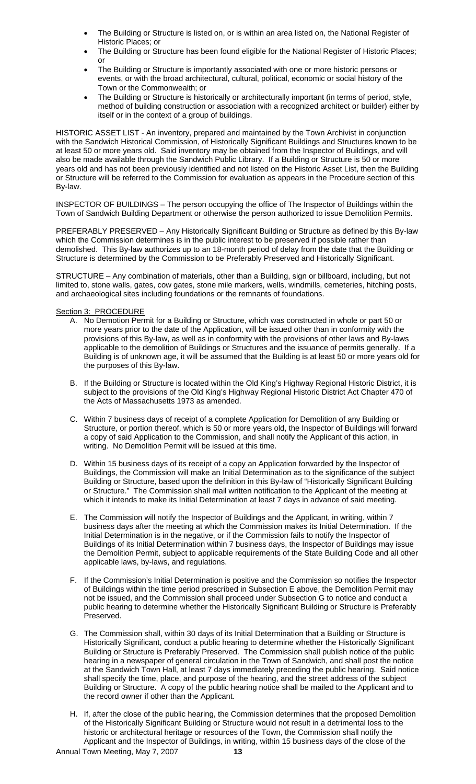- The Building or Structure is listed on, or is within an area listed on, the National Register of Historic Places; or
- The Building or Structure has been found eligible for the National Register of Historic Places; or
- The Building or Structure is importantly associated with one or more historic persons or events, or with the broad architectural, cultural, political, economic or social history of the Town or the Commonwealth; or
- The Building or Structure is historically or architecturally important (in terms of period, style, method of building construction or association with a recognized architect or builder) either by itself or in the context of a group of buildings.

HISTORIC ASSET LIST - An inventory, prepared and maintained by the Town Archivist in conjunction with the Sandwich Historical Commission, of Historically Significant Buildings and Structures known to be at least 50 or more years old. Said inventory may be obtained from the Inspector of Buildings, and will also be made available through the Sandwich Public Library. If a Building or Structure is 50 or more years old and has not been previously identified and not listed on the Historic Asset List, then the Building or Structure will be referred to the Commission for evaluation as appears in the Procedure section of this By-law.

INSPECTOR OF BUILDINGS – The person occupying the office of The Inspector of Buildings within the Town of Sandwich Building Department or otherwise the person authorized to issue Demolition Permits.

PREFERABLY PRESERVED – Any Historically Significant Building or Structure as defined by this By-law which the Commission determines is in the public interest to be preserved if possible rather than demolished. This By-law authorizes up to an 18-month period of delay from the date that the Building or Structure is determined by the Commission to be Preferably Preserved and Historically Significant.

STRUCTURE – Any combination of materials, other than a Building, sign or billboard, including, but not limited to, stone walls, gates, cow gates, stone mile markers, wells, windmills, cemeteries, hitching posts, and archaeological sites including foundations or the remnants of foundations.

# Section 3: PROCEDURE

- A. No Demotion Permit for a Building or Structure, which was constructed in whole or part 50 or more years prior to the date of the Application, will be issued other than in conformity with the provisions of this By-law, as well as in conformity with the provisions of other laws and By-laws applicable to the demolition of Buildings or Structures and the issuance of permits generally. If a Building is of unknown age, it will be assumed that the Building is at least 50 or more years old for the purposes of this By-law.
- B. If the Building or Structure is located within the Old King's Highway Regional Historic District, it is subject to the provisions of the Old King's Highway Regional Historic District Act Chapter 470 of the Acts of Massachusetts 1973 as amended.
- C. Within 7 business days of receipt of a complete Application for Demolition of any Building or Structure, or portion thereof, which is 50 or more years old, the Inspector of Buildings will forward a copy of said Application to the Commission, and shall notify the Applicant of this action, in writing. No Demolition Permit will be issued at this time.
- D. Within 15 business days of its receipt of a copy an Application forwarded by the Inspector of Buildings, the Commission will make an Initial Determination as to the significance of the subject Building or Structure, based upon the definition in this By-law of "Historically Significant Building or Structure." The Commission shall mail written notification to the Applicant of the meeting at which it intends to make its Initial Determination at least 7 days in advance of said meeting.
- E. The Commission will notify the Inspector of Buildings and the Applicant, in writing, within 7 business days after the meeting at which the Commission makes its Initial Determination. If the Initial Determination is in the negative, or if the Commission fails to notify the Inspector of Buildings of its Initial Determination within 7 business days, the Inspector of Buildings may issue the Demolition Permit, subject to applicable requirements of the State Building Code and all other applicable laws, by-laws, and regulations.
- F. If the Commission's Initial Determination is positive and the Commission so notifies the Inspector of Buildings within the time period prescribed in Subsection E above, the Demolition Permit may not be issued, and the Commission shall proceed under Subsection G to notice and conduct a public hearing to determine whether the Historically Significant Building or Structure is Preferably Preserved.
- G. The Commission shall, within 30 days of its Initial Determination that a Building or Structure is Historically Significant, conduct a public hearing to determine whether the Historically Significant Building or Structure is Preferably Preserved. The Commission shall publish notice of the public hearing in a newspaper of general circulation in the Town of Sandwich, and shall post the notice at the Sandwich Town Hall, at least 7 days immediately preceding the public hearing. Said notice shall specify the time, place, and purpose of the hearing, and the street address of the subject Building or Structure. A copy of the public hearing notice shall be mailed to the Applicant and to the record owner if other than the Applicant.
- H. If, after the close of the public hearing, the Commission determines that the proposed Demolition of the Historically Significant Building or Structure would not result in a detrimental loss to the historic or architectural heritage or resources of the Town, the Commission shall notify the Applicant and the Inspector of Buildings, in writing, within 15 business days of the close of the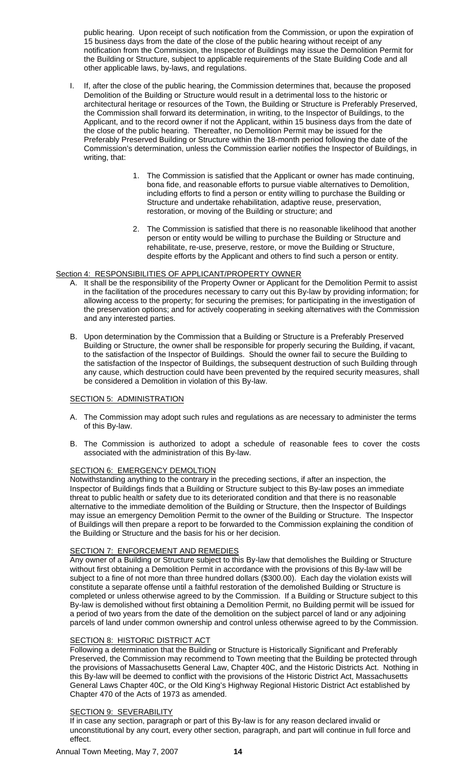public hearing. Upon receipt of such notification from the Commission, or upon the expiration of 15 business days from the date of the close of the public hearing without receipt of any notification from the Commission, the Inspector of Buildings may issue the Demolition Permit for the Building or Structure, subject to applicable requirements of the State Building Code and all other applicable laws, by-laws, and regulations.

- I. If, after the close of the public hearing, the Commission determines that, because the proposed Demolition of the Building or Structure would result in a detrimental loss to the historic or architectural heritage or resources of the Town, the Building or Structure is Preferably Preserved, the Commission shall forward its determination, in writing, to the Inspector of Buildings, to the Applicant, and to the record owner if not the Applicant, within 15 business days from the date of the close of the public hearing. Thereafter, no Demolition Permit may be issued for the Preferably Preserved Building or Structure within the 18-month period following the date of the Commission's determination, unless the Commission earlier notifies the Inspector of Buildings, in writing, that:
	- 1. The Commission is satisfied that the Applicant or owner has made continuing, bona fide, and reasonable efforts to pursue viable alternatives to Demolition, including efforts to find a person or entity willing to purchase the Building or Structure and undertake rehabilitation, adaptive reuse, preservation, restoration, or moving of the Building or structure; and
	- 2. The Commission is satisfied that there is no reasonable likelihood that another person or entity would be willing to purchase the Building or Structure and rehabilitate, re-use, preserve, restore, or move the Building or Structure, despite efforts by the Applicant and others to find such a person or entity.

# Section 4: RESPONSIBILITIES OF APPLICANT/PROPERTY OWNER

- A. It shall be the responsibility of the Property Owner or Applicant for the Demolition Permit to assist in the facilitation of the procedures necessary to carry out this By-law by providing information; for allowing access to the property; for securing the premises; for participating in the investigation of the preservation options; and for actively cooperating in seeking alternatives with the Commission and any interested parties.
- B. Upon determination by the Commission that a Building or Structure is a Preferably Preserved Building or Structure, the owner shall be responsible for properly securing the Building, if vacant, to the satisfaction of the Inspector of Buildings. Should the owner fail to secure the Building to the satisfaction of the Inspector of Buildings, the subsequent destruction of such Building through any cause, which destruction could have been prevented by the required security measures, shall be considered a Demolition in violation of this By-law.

### **SECTION 5: ADMINISTRATION**

- A. The Commission may adopt such rules and regulations as are necessary to administer the terms of this By-law.
- B. The Commission is authorized to adopt a schedule of reasonable fees to cover the costs associated with the administration of this By-law.

# SECTION 6: EMERGENCY DEMOLTION

Notwithstanding anything to the contrary in the preceding sections, if after an inspection, the Inspector of Buildings finds that a Building or Structure subject to this By-law poses an immediate threat to public health or safety due to its deteriorated condition and that there is no reasonable alternative to the immediate demolition of the Building or Structure, then the Inspector of Buildings may issue an emergency Demolition Permit to the owner of the Building or Structure. The Inspector of Buildings will then prepare a report to be forwarded to the Commission explaining the condition of the Building or Structure and the basis for his or her decision.

# SECTION 7: ENFORCEMENT AND REMEDIES

Any owner of a Building or Structure subject to this By-law that demolishes the Building or Structure without first obtaining a Demolition Permit in accordance with the provisions of this By-law will be subject to a fine of not more than three hundred dollars (\$300.00). Each day the violation exists will constitute a separate offense until a faithful restoration of the demolished Building or Structure is completed or unless otherwise agreed to by the Commission. If a Building or Structure subject to this By-law is demolished without first obtaining a Demolition Permit, no Building permit will be issued for a period of two years from the date of the demolition on the subject parcel of land or any adjoining parcels of land under common ownership and control unless otherwise agreed to by the Commission.

# SECTION 8: HISTORIC DISTRICT ACT

Following a determination that the Building or Structure is Historically Significant and Preferably Preserved, the Commission may recommend to Town meeting that the Building be protected through the provisions of Massachusetts General Law, Chapter 40C, and the Historic Districts Act. Nothing in this By-law will be deemed to conflict with the provisions of the Historic District Act, Massachusetts General Laws Chapter 40C, or the Old King's Highway Regional Historic District Act established by Chapter 470 of the Acts of 1973 as amended.

# SECTION 9: SEVERABILITY

If in case any section, paragraph or part of this By-law is for any reason declared invalid or unconstitutional by any court, every other section, paragraph, and part will continue in full force and effect.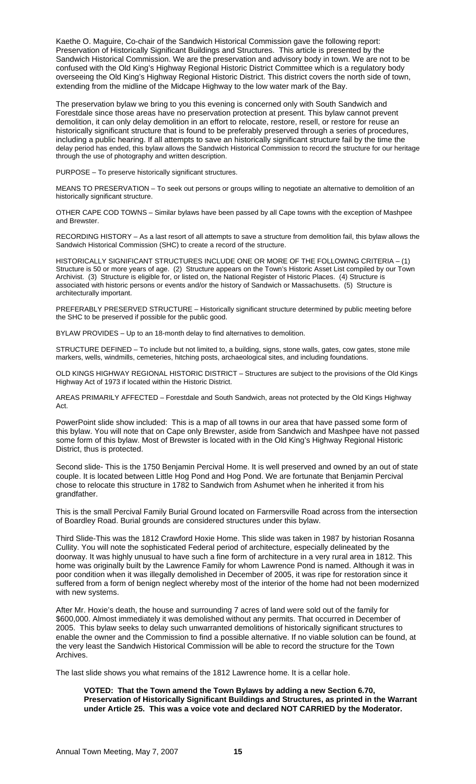Kaethe O. Maguire, Co-chair of the Sandwich Historical Commission gave the following report: Preservation of Historically Significant Buildings and Structures. This article is presented by the Sandwich Historical Commission. We are the preservation and advisory body in town. We are not to be confused with the Old King's Highway Regional Historic District Committee which is a regulatory body overseeing the Old King's Highway Regional Historic District. This district covers the north side of town, extending from the midline of the Midcape Highway to the low water mark of the Bay.

The preservation bylaw we bring to you this evening is concerned only with South Sandwich and Forestdale since those areas have no preservation protection at present. This bylaw cannot prevent demolition, it can only delay demolition in an effort to relocate, restore, resell, or restore for reuse an historically significant structure that is found to be preferably preserved through a series of procedures, including a public hearing. If all attempts to save an historically significant structure fail by the time the delay period has ended, this bylaw allows the Sandwich Historical Commission to record the structure for our heritage through the use of photography and written description.

PURPOSE – To preserve historically significant structures.

MEANS TO PRESERVATION – To seek out persons or groups willing to negotiate an alternative to demolition of an historically significant structure.

OTHER CAPE COD TOWNS – Similar bylaws have been passed by all Cape towns with the exception of Mashpee and Brewster.

RECORDING HISTORY – As a last resort of all attempts to save a structure from demolition fail, this bylaw allows the Sandwich Historical Commission (SHC) to create a record of the structure.

HISTORICALLY SIGNIFICANT STRUCTURES INCLUDE ONE OR MORE OF THE FOLLOWING CRITERIA – (1) Structure is 50 or more years of age. (2) Structure appears on the Town's Historic Asset List compiled by our Town Archivist. (3) Structure is eligible for, or listed on, the National Register of Historic Places. (4) Structure is associated with historic persons or events and/or the history of Sandwich or Massachusetts. (5) Structure is architecturally important.

PREFERABLY PRESERVED STRUCTURE – Historically significant structure determined by public meeting before the SHC to be preserved if possible for the public good.

BYLAW PROVIDES – Up to an 18-month delay to find alternatives to demolition.

STRUCTURE DEFINED – To include but not limited to, a building, signs, stone walls, gates, cow gates, stone mile markers, wells, windmills, cemeteries, hitching posts, archaeological sites, and including foundations.

OLD KINGS HIGHWAY REGIONAL HISTORIC DISTRICT – Structures are subject to the provisions of the Old Kings Highway Act of 1973 if located within the Historic District.

AREAS PRIMARILY AFFECTED – Forestdale and South Sandwich, areas not protected by the Old Kings Highway Act.

PowerPoint slide show included: This is a map of all towns in our area that have passed some form of this bylaw. You will note that on Cape only Brewster, aside from Sandwich and Mashpee have not passed some form of this bylaw. Most of Brewster is located with in the Old King's Highway Regional Historic District, thus is protected.

Second slide- This is the 1750 Benjamin Percival Home. It is well preserved and owned by an out of state couple. It is located between Little Hog Pond and Hog Pond. We are fortunate that Benjamin Percival chose to relocate this structure in 1782 to Sandwich from Ashumet when he inherited it from his grandfather.

This is the small Percival Family Burial Ground located on Farmersville Road across from the intersection of Boardley Road. Burial grounds are considered structures under this bylaw.

Third Slide-This was the 1812 Crawford Hoxie Home. This slide was taken in 1987 by historian Rosanna Cullity. You will note the sophisticated Federal period of architecture, especially delineated by the doorway. It was highly unusual to have such a fine form of architecture in a very rural area in 1812. This home was originally built by the Lawrence Family for whom Lawrence Pond is named. Although it was in poor condition when it was illegally demolished in December of 2005, it was ripe for restoration since it suffered from a form of benign neglect whereby most of the interior of the home had not been modernized with new systems.

After Mr. Hoxie's death, the house and surrounding 7 acres of land were sold out of the family for \$600,000. Almost immediately it was demolished without any permits. That occurred in December of 2005. This bylaw seeks to delay such unwarranted demolitions of historically significant structures to enable the owner and the Commission to find a possible alternative. If no viable solution can be found, at the very least the Sandwich Historical Commission will be able to record the structure for the Town Archives.

The last slide shows you what remains of the 1812 Lawrence home. It is a cellar hole.

# **VOTED: That the Town amend the Town Bylaws by adding a new Section 6.70, Preservation of Historically Significant Buildings and Structures, as printed in the Warrant under Article 25. This was a voice vote and declared NOT CARRIED by the Moderator.**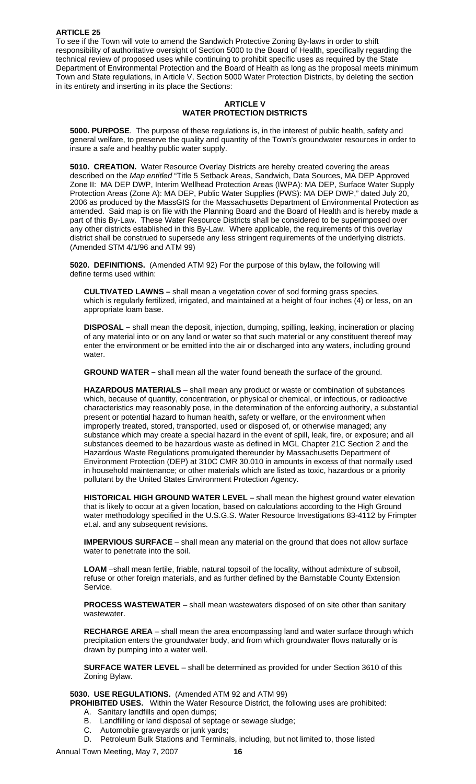To see if the Town will vote to amend the Sandwich Protective Zoning By-laws in order to shift responsibility of authoritative oversight of Section 5000 to the Board of Health, specifically regarding the technical review of proposed uses while continuing to prohibit specific uses as required by the State Department of Environmental Protection and the Board of Health as long as the proposal meets minimum Town and State regulations, in Article V, Section 5000 Water Protection Districts, by deleting the section in its entirety and inserting in its place the Sections:

# **ARTICLE V WATER PROTECTION DISTRICTS**

**5000. PURPOSE**. The purpose of these regulations is, in the interest of public health, safety and general welfare, to preserve the quality and quantity of the Town's groundwater resources in order to insure a safe and healthy public water supply.

**5010. CREATION.** Water Resource Overlay Districts are hereby created covering the areas described on the *Map entitled* "Title 5 Setback Areas, Sandwich, Data Sources, MA DEP Approved Zone II: MA DEP DWP, Interim Wellhead Protection Areas (IWPA): MA DEP, Surface Water Supply Protection Areas (Zone A): MA DEP, Public Water Supplies (PWS): MA DEP DWP," dated July 20, 2006 as produced by the MassGIS for the Massachusetts Department of Environmental Protection as amended. Said map is on file with the Planning Board and the Board of Health and is hereby made a part of this By-Law. These Water Resource Districts shall be considered to be superimposed over any other districts established in this By-Law. Where applicable, the requirements of this overlay district shall be construed to supersede any less stringent requirements of the underlying districts. (Amended STM 4/1/96 and ATM 99)

**5020. DEFINITIONS.** (Amended ATM 92) For the purpose of this bylaw, the following will define terms used within:

**CULTIVATED LAWNS –** shall mean a vegetation cover of sod forming grass species, which is regularly fertilized, irrigated, and maintained at a height of four inches (4) or less, on an appropriate loam base.

**DISPOSAL –** shall mean the deposit, injection, dumping, spilling, leaking, incineration or placing of any material into or on any land or water so that such material or any constituent thereof may enter the environment or be emitted into the air or discharged into any waters, including ground water.

**GROUND WATER –** shall mean all the water found beneath the surface of the ground.

**HAZARDOUS MATERIALS** – shall mean any product or waste or combination of substances which, because of quantity, concentration, or physical or chemical, or infectious, or radioactive characteristics may reasonably pose, in the determination of the enforcing authority, a substantial present or potential hazard to human health, safety or welfare, or the environment when improperly treated, stored, transported, used or disposed of, or otherwise managed; any substance which may create a special hazard in the event of spill, leak, fire, or exposure; and all substances deemed to be hazardous waste as defined in MGL Chapter 21C Section 2 and the Hazardous Waste Regulations promulgated thereunder by Massachusetts Department of Environment Protection (DEP) at 310C CMR 30.010 in amounts in excess of that normally used in household maintenance; or other materials which are listed as toxic, hazardous or a priority pollutant by the United States Environment Protection Agency.

**HISTORICAL HIGH GROUND WATER LEVEL** – shall mean the highest ground water elevation that is likely to occur at a given location, based on calculations according to the High Ground water methodology specified in the U.S.G.S. Water Resource Investigations 83-4112 by Frimpter et.al. and any subsequent revisions.

**IMPERVIOUS SURFACE** – shall mean any material on the ground that does not allow surface water to penetrate into the soil.

**LOAM** –shall mean fertile, friable, natural topsoil of the locality, without admixture of subsoil, refuse or other foreign materials, and as further defined by the Barnstable County Extension Service.

**PROCESS WASTEWATER** – shall mean wastewaters disposed of on site other than sanitary wastewater.

**RECHARGE AREA** – shall mean the area encompassing land and water surface through which precipitation enters the groundwater body, and from which groundwater flows naturally or is drawn by pumping into a water well.

**SURFACE WATER LEVEL** – shall be determined as provided for under Section 3610 of this Zoning Bylaw.

# **5030. USE REGULATIONS.** (Amended ATM 92 and ATM 99)

**PROHIBITED USES.** Within the Water Resource District, the following uses are prohibited:

- A. Sanitary landfills and open dumps;
- B. Landfilling or land disposal of septage or sewage sludge;
- C. Automobile graveyards or junk yards;
- D. Petroleum Bulk Stations and Terminals, including, but not limited to, those listed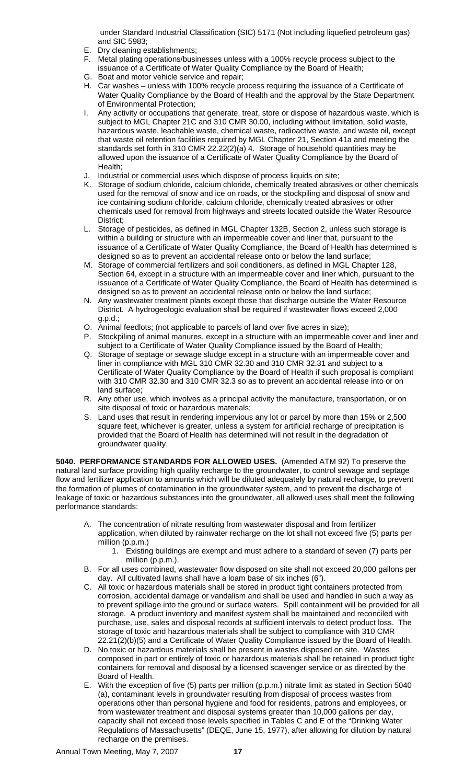under Standard Industrial Classification (SIC) 5171 (Not including liquefied petroleum gas) and SIC 5983;

- E. Dry cleaning establishments;
- F. Metal plating operations/businesses unless with a 100% recycle process subject to the issuance of a Certificate of Water Quality Compliance by the Board of Health;
- G. Boat and motor vehicle service and repair;
- H. Car washes unless with 100% recycle process requiring the issuance of a Certificate of Water Quality Compliance by the Board of Health and the approval by the State Department of Environmental Protection;
- I. Any activity or occupations that generate, treat, store or dispose of hazardous waste, which is subject to MGL Chapter 21C and 310 CMR 30.00, including without limitation, solid waste, hazardous waste, leachable waste, chemical waste, radioactive waste, and waste oil, except that waste oil retention facilities required by MGL Chapter 21, Section 41a and meeting the standards set forth in 310 CMR 22.22(2)(a) 4. Storage of household quantities may be allowed upon the issuance of a Certificate of Water Quality Compliance by the Board of Health;
- J. Industrial or commercial uses which dispose of process liquids on site;
- K. Storage of sodium chloride, calcium chloride, chemically treated abrasives or other chemicals used for the removal of snow and ice on roads, or the stockpiling and disposal of snow and ice containing sodium chloride, calcium chloride, chemically treated abrasives or other chemicals used for removal from highways and streets located outside the Water Resource District;
- L. Storage of pesticides, as defined in MGL Chapter 132B, Section 2, unless such storage is within a building or structure with an impermeable cover and liner that, pursuant to the issuance of a Certificate of Water Quality Compliance, the Board of Health has determined is designed so as to prevent an accidental release onto or below the land surface;
- M. Storage of commercial fertilizers and soil conditioners, as defined in MGL Chapter 128, Section 64, except in a structure with an impermeable cover and liner which, pursuant to the issuance of a Certificate of Water Quality Compliance, the Board of Health has determined is designed so as to prevent an accidental release onto or below the land surface;
- N. Any wastewater treatment plants except those that discharge outside the Water Resource District. A hydrogeologic evaluation shall be required if wastewater flows exceed 2,000 g.p.d.;
- O. Animal feedlots; (not applicable to parcels of land over five acres in size);
- P. Stockpiling of animal manures, except in a structure with an impermeable cover and liner and subject to a Certificate of Water Quality Compliance issued by the Board of Health;
- Q. Storage of septage or sewage sludge except in a structure with an impermeable cover and liner in compliance with MGL 310 CMR 32.30 and 310 CMR 32.31 and subject to a Certificate of Water Quality Compliance by the Board of Health if such proposal is compliant with 310 CMR 32.30 and 310 CMR 32.3 so as to prevent an accidental release into or on land surface;
- R. Any other use, which involves as a principal activity the manufacture, transportation, or on site disposal of toxic or hazardous materials;
- S. Land uses that result in rendering impervious any lot or parcel by more than 15% or 2,500 square feet, whichever is greater, unless a system for artificial recharge of precipitation is provided that the Board of Health has determined will not result in the degradation of groundwater quality.

**5040. PERFORMANCE STANDARDS FOR ALLOWED USES.** (Amended ATM 92) To preserve the natural land surface providing high quality recharge to the groundwater, to control sewage and septage flow and fertilizer application to amounts which will be diluted adequately by natural recharge, to prevent the formation of plumes of contamination in the groundwater system, and to prevent the discharge of leakage of toxic or hazardous substances into the groundwater, all allowed uses shall meet the following performance standards:

- A. The concentration of nitrate resulting from wastewater disposal and from fertilizer application, when diluted by rainwater recharge on the lot shall not exceed five (5) parts per million (p.p.m.)
	- 1. Existing buildings are exempt and must adhere to a standard of seven (7) parts per million (p.p.m.).
- B. For all uses combined, wastewater flow disposed on site shall not exceed 20,000 gallons per day. All cultivated lawns shall have a loam base of six inches (6").
- C. All toxic or hazardous materials shall be stored in product tight containers protected from corrosion, accidental damage or vandalism and shall be used and handled in such a way as to prevent spillage into the ground or surface waters. Spill containment will be provided for all storage. A product inventory and manifest system shall be maintained and reconciled with purchase, use, sales and disposal records at sufficient intervals to detect product loss. The storage of toxic and hazardous materials shall be subject to compliance with 310 CMR 22.21(2)(b)(5) and a Certificate of Water Quality Compliance issued by the Board of Health.
- D. No toxic or hazardous materials shall be present in wastes disposed on site. Wastes composed in part or entirely of toxic or hazardous materials shall be retained in product tight containers for removal and disposal by a licensed scavenger service or as directed by the Board of Health.
- E. With the exception of five (5) parts per million (p.p.m.) nitrate limit as stated in Section 5040 (a), contaminant levels in groundwater resulting from disposal of process wastes from operations other than personal hygiene and food for residents, patrons and employees, or from wastewater treatment and disposal systems greater than 10,000 gallons per day, capacity shall not exceed those levels specified in Tables C and E of the "Drinking Water Regulations of Massachusetts" (DEQE, June 15, 1977), after allowing for dilution by natural recharge on the premises.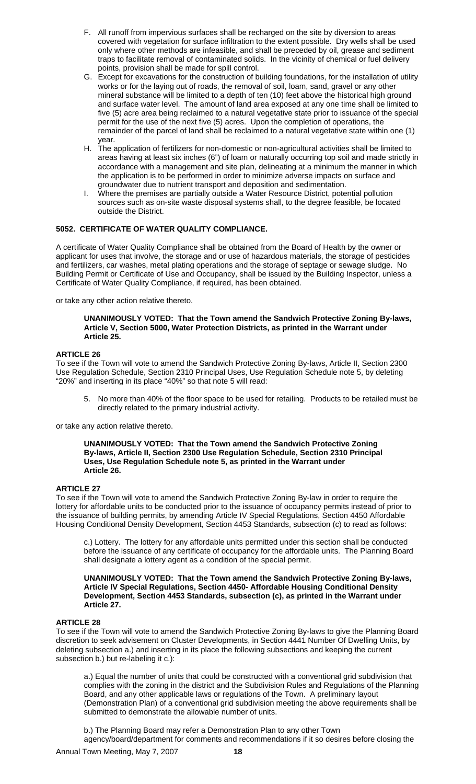- F. All runoff from impervious surfaces shall be recharged on the site by diversion to areas covered with vegetation for surface infiltration to the extent possible. Dry wells shall be used only where other methods are infeasible, and shall be preceded by oil, grease and sediment traps to facilitate removal of contaminated solids. In the vicinity of chemical or fuel delivery points, provision shall be made for spill control.
- G. Except for excavations for the construction of building foundations, for the installation of utility works or for the laying out of roads, the removal of soil, loam, sand, gravel or any other mineral substance will be limited to a depth of ten (10) feet above the historical high ground and surface water level. The amount of land area exposed at any one time shall be limited to five (5) acre area being reclaimed to a natural vegetative state prior to issuance of the special permit for the use of the next five (5) acres. Upon the completion of operations, the remainder of the parcel of land shall be reclaimed to a natural vegetative state within one (1) year.
- H. The application of fertilizers for non-domestic or non-agricultural activities shall be limited to areas having at least six inches (6") of loam or naturally occurring top soil and made strictly in accordance with a management and site plan, delineating at a minimum the manner in which the application is to be performed in order to minimize adverse impacts on surface and groundwater due to nutrient transport and deposition and sedimentation.
- Where the premises are partially outside a Water Resource District, potential pollution sources such as on-site waste disposal systems shall, to the degree feasible, be located outside the District.

# **5052. CERTIFICATE OF WATER QUALITY COMPLIANCE.**

A certificate of Water Quality Compliance shall be obtained from the Board of Health by the owner or applicant for uses that involve, the storage and or use of hazardous materials, the storage of pesticides and fertilizers, car washes, metal plating operations and the storage of septage or sewage sludge. No Building Permit or Certificate of Use and Occupancy, shall be issued by the Building Inspector, unless a Certificate of Water Quality Compliance, if required, has been obtained.

or take any other action relative thereto.

# **UNANIMOUSLY VOTED: That the Town amend the Sandwich Protective Zoning By-laws, Article V, Section 5000, Water Protection Districts, as printed in the Warrant under Article 25.**

# **ARTICLE 26**

To see if the Town will vote to amend the Sandwich Protective Zoning By-laws, Article II, Section 2300 Use Regulation Schedule, Section 2310 Principal Uses, Use Regulation Schedule note 5, by deleting "20%" and inserting in its place "40%" so that note 5 will read:

5. No more than 40% of the floor space to be used for retailing. Products to be retailed must be directly related to the primary industrial activity.

or take any action relative thereto.

#### **UNANIMOUSLY VOTED: That the Town amend the Sandwich Protective Zoning By-laws, Article II, Section 2300 Use Regulation Schedule, Section 2310 Principal Uses, Use Regulation Schedule note 5, as printed in the Warrant under Article 26.**

# **ARTICLE 27**

To see if the Town will vote to amend the Sandwich Protective Zoning By-law in order to require the lottery for affordable units to be conducted prior to the issuance of occupancy permits instead of prior to the issuance of building permits, by amending Article IV Special Regulations, Section 4450 Affordable Housing Conditional Density Development, Section 4453 Standards, subsection (c) to read as follows:

c.) Lottery. The lottery for any affordable units permitted under this section shall be conducted before the issuance of any certificate of occupancy for the affordable units. The Planning Board shall designate a lottery agent as a condition of the special permit.

**UNANIMOUSLY VOTED: That the Town amend the Sandwich Protective Zoning By-laws, Article IV Special Regulations, Section 4450- Affordable Housing Conditional Density Development, Section 4453 Standards, subsection (c), as printed in the Warrant under Article 27.** 

# **ARTICLE 28**

To see if the Town will vote to amend the Sandwich Protective Zoning By-laws to give the Planning Board discretion to seek advisement on Cluster Developments, in Section 4441 Number Of Dwelling Units, by deleting subsection a.) and inserting in its place the following subsections and keeping the current subsection b.) but re-labeling it c.):

a.) Equal the number of units that could be constructed with a conventional grid subdivision that complies with the zoning in the district and the Subdivision Rules and Regulations of the Planning Board, and any other applicable laws or regulations of the Town. A preliminary layout (Demonstration Plan) of a conventional grid subdivision meeting the above requirements shall be submitted to demonstrate the allowable number of units.

b.) The Planning Board may refer a Demonstration Plan to any other Town agency/board/department for comments and recommendations if it so desires before closing the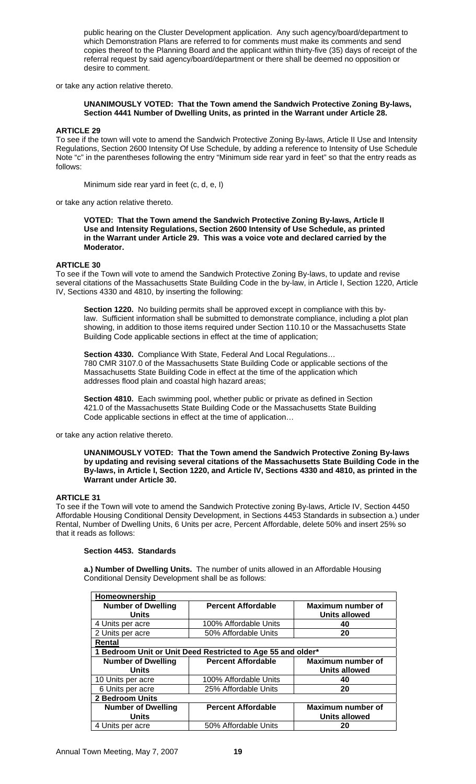public hearing on the Cluster Development application. Any such agency/board/department to which Demonstration Plans are referred to for comments must make its comments and send copies thereof to the Planning Board and the applicant within thirty-five (35) days of receipt of the referral request by said agency/board/department or there shall be deemed no opposition or desire to comment.

or take any action relative thereto.

# **UNANIMOUSLY VOTED: That the Town amend the Sandwich Protective Zoning By-laws, Section 4441 Number of Dwelling Units, as printed in the Warrant under Article 28.**

# **ARTICLE 29**

To see if the town will vote to amend the Sandwich Protective Zoning By-laws, Article II Use and Intensity Regulations, Section 2600 Intensity Of Use Schedule, by adding a reference to Intensity of Use Schedule Note "c" in the parentheses following the entry "Minimum side rear yard in feet" so that the entry reads as follows:

Minimum side rear yard in feet (c, d, e, I)

or take any action relative thereto.

**VOTED: That the Town amend the Sandwich Protective Zoning By-laws, Article II Use and Intensity Regulations, Section 2600 Intensity of Use Schedule, as printed in the Warrant under Article 29. This was a voice vote and declared carried by the Moderator.** 

# **ARTICLE 30**

To see if the Town will vote to amend the Sandwich Protective Zoning By-laws, to update and revise several citations of the Massachusetts State Building Code in the by-law, in Article I, Section 1220, Article IV, Sections 4330 and 4810, by inserting the following:

**Section 1220.** No building permits shall be approved except in compliance with this bylaw. Sufficient information shall be submitted to demonstrate compliance, including a plot plan showing, in addition to those items required under Section 110.10 or the Massachusetts State Building Code applicable sections in effect at the time of application;

**Section 4330.** Compliance With State, Federal And Local Regulations… 780 CMR 3107.0 of the Massachusetts State Building Code or applicable sections of the Massachusetts State Building Code in effect at the time of the application which addresses flood plain and coastal high hazard areas;

**Section 4810.** Each swimming pool, whether public or private as defined in Section 421.0 of the Massachusetts State Building Code or the Massachusetts State Building Code applicable sections in effect at the time of application…

or take any action relative thereto.

**UNANIMOUSLY VOTED: That the Town amend the Sandwich Protective Zoning By-laws by updating and revising several citations of the Massachusetts State Building Code in the By-laws, in Article I, Section 1220, and Article IV, Sections 4330 and 4810, as printed in the Warrant under Article 30.**

### **ARTICLE 31**

To see if the Town will vote to amend the Sandwich Protective zoning By-laws, Article IV, Section 4450 Affordable Housing Conditional Density Development, in Sections 4453 Standards in subsection a.) under Rental, Number of Dwelling Units, 6 Units per acre, Percent Affordable, delete 50% and insert 25% so that it reads as follows:

### **Section 4453. Standards**

**a.) Number of Dwelling Units.** The number of units allowed in an Affordable Housing Conditional Density Development shall be as follows:

| Homeownership             |                                                             |                          |
|---------------------------|-------------------------------------------------------------|--------------------------|
| <b>Number of Dwelling</b> | <b>Percent Affordable</b>                                   | Maximum number of        |
| <b>Units</b>              |                                                             | <b>Units allowed</b>     |
| 4 Units per acre          | 100% Affordable Units                                       | 40                       |
| 2 Units per acre          | 50% Affordable Units                                        | 20                       |
| Rental                    |                                                             |                          |
|                           | 1 Bedroom Unit or Unit Deed Restricted to Age 55 and older* |                          |
| <b>Number of Dwelling</b> | <b>Percent Affordable</b>                                   | <b>Maximum number of</b> |
| <b>Units</b>              |                                                             | <b>Units allowed</b>     |
| 10 Units per acre         | 100% Affordable Units                                       | 40                       |
| 6 Units per acre          | 25% Affordable Units                                        | 20                       |
| <b>2 Bedroom Units</b>    |                                                             |                          |
| <b>Number of Dwelling</b> | <b>Percent Affordable</b>                                   | <b>Maximum number of</b> |
| <b>Units</b>              |                                                             | <b>Units allowed</b>     |
| 4 Units per acre          | 50% Affordable Units                                        | 20                       |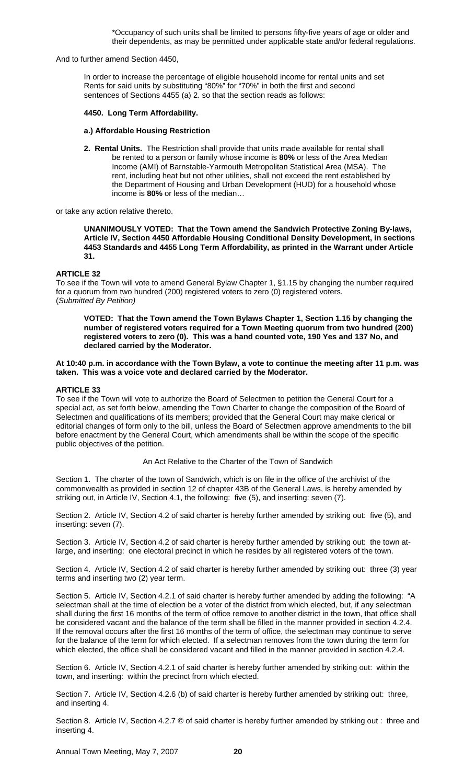\*Occupancy of such units shall be limited to persons fifty-five years of age or older and their dependents, as may be permitted under applicable state and/or federal regulations.

And to further amend Section 4450,

 In order to increase the percentage of eligible household income for rental units and set Rents for said units by substituting "80%" for "70%" in both the first and second sentences of Sections 4455 (a) 2. so that the section reads as follows:

### **4450. Long Term Affordability.**

#### **a.) Affordable Housing Restriction**

**2. Rental Units.** The Restriction shall provide that units made available for rental shall be rented to a person or family whose income is **80%** or less of the Area Median Income (AMI) of Barnstable-Yarmouth Metropolitan Statistical Area (MSA). The rent, including heat but not other utilities, shall not exceed the rent established by the Department of Housing and Urban Development (HUD) for a household whose income is **80%** or less of the median…

or take any action relative thereto.

**UNANIMOUSLY VOTED: That the Town amend the Sandwich Protective Zoning By-laws, Article IV, Section 4450 Affordable Housing Conditional Density Development, in sections 4453 Standards and 4455 Long Term Affordability, as printed in the Warrant under Article 31.** 

### **ARTICLE 32**

To see if the Town will vote to amend General Bylaw Chapter 1, §1.15 by changing the number required for a quorum from two hundred (200) registered voters to zero (0) registered voters. (*Submitted By Petition)* 

**VOTED: That the Town amend the Town Bylaws Chapter 1, Section 1.15 by changing the number of registered voters required for a Town Meeting quorum from two hundred (200) registered voters to zero (0). This was a hand counted vote, 190 Yes and 137 No, and declared carried by the Moderator.** 

#### **At 10:40 p.m. in accordance with the Town Bylaw, a vote to continue the meeting after 11 p.m. was taken. This was a voice vote and declared carried by the Moderator.**

### **ARTICLE 33**

To see if the Town will vote to authorize the Board of Selectmen to petition the General Court for a special act, as set forth below, amending the Town Charter to change the composition of the Board of Selectmen and qualifications of its members; provided that the General Court may make clerical or editorial changes of form only to the bill, unless the Board of Selectmen approve amendments to the bill before enactment by the General Court, which amendments shall be within the scope of the specific public objectives of the petition.

An Act Relative to the Charter of the Town of Sandwich

Section 1. The charter of the town of Sandwich, which is on file in the office of the archivist of the commonwealth as provided in section 12 of chapter 43B of the General Laws, is hereby amended by striking out, in Article IV, Section 4.1, the following: five (5), and inserting: seven (7).

Section 2. Article IV, Section 4.2 of said charter is hereby further amended by striking out: five (5), and inserting: seven (7).

Section 3. Article IV, Section 4.2 of said charter is hereby further amended by striking out: the town atlarge, and inserting: one electoral precinct in which he resides by all registered voters of the town.

Section 4. Article IV, Section 4.2 of said charter is hereby further amended by striking out: three (3) year terms and inserting two (2) year term.

Section 5. Article IV, Section 4.2.1 of said charter is hereby further amended by adding the following: "A selectman shall at the time of election be a voter of the district from which elected, but, if any selectman shall during the first 16 months of the term of office remove to another district in the town, that office shall be considered vacant and the balance of the term shall be filled in the manner provided in section 4.2.4. If the removal occurs after the first 16 months of the term of office, the selectman may continue to serve for the balance of the term for which elected. If a selectman removes from the town during the term for which elected, the office shall be considered vacant and filled in the manner provided in section 4.2.4.

Section 6. Article IV, Section 4.2.1 of said charter is hereby further amended by striking out: within the town, and inserting: within the precinct from which elected.

Section 7. Article IV, Section 4.2.6 (b) of said charter is hereby further amended by striking out: three, and inserting 4.

Section 8. Article IV, Section 4.2.7 © of said charter is hereby further amended by striking out : three and inserting 4.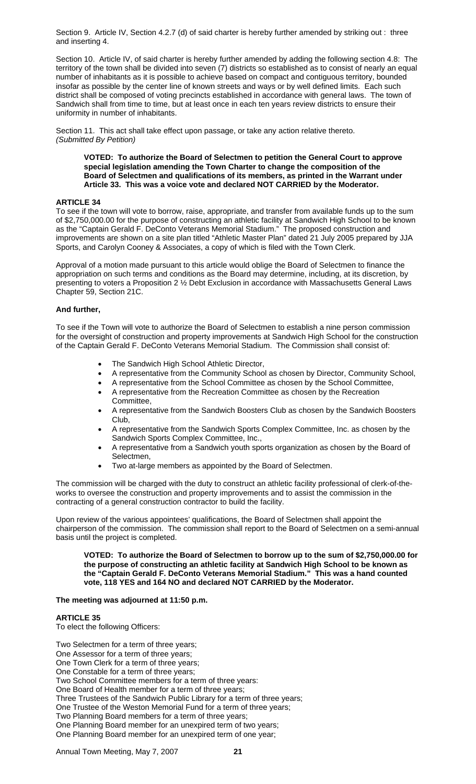Section 9. Article IV, Section 4.2.7 (d) of said charter is hereby further amended by striking out : three and inserting 4.

Section 10. Article IV, of said charter is hereby further amended by adding the following section 4.8: The territory of the town shall be divided into seven (7) districts so established as to consist of nearly an equal number of inhabitants as it is possible to achieve based on compact and contiguous territory, bounded insofar as possible by the center line of known streets and ways or by well defined limits. Each such district shall be composed of voting precincts established in accordance with general laws. The town of Sandwich shall from time to time, but at least once in each ten years review districts to ensure their uniformity in number of inhabitants.

Section 11. This act shall take effect upon passage, or take any action relative thereto. *(Submitted By Petition)* 

**VOTED: To authorize the Board of Selectmen to petition the General Court to approve special legislation amending the Town Charter to change the composition of the Board of Selectmen and qualifications of its members, as printed in the Warrant under Article 33. This was a voice vote and declared NOT CARRIED by the Moderator.**

# **ARTICLE 34**

To see if the town will vote to borrow, raise, appropriate, and transfer from available funds up to the sum of \$2,750,000.00 for the purpose of constructing an athletic facility at Sandwich High School to be known as the "Captain Gerald F. DeConto Veterans Memorial Stadium." The proposed construction and improvements are shown on a site plan titled "Athletic Master Plan" dated 21 July 2005 prepared by JJA Sports, and Carolyn Cooney & Associates, a copy of which is filed with the Town Clerk.

Approval of a motion made pursuant to this article would oblige the Board of Selectmen to finance the appropriation on such terms and conditions as the Board may determine, including, at its discretion, by presenting to voters a Proposition 2 % Debt Exclusion in accordance with Massachusetts General Laws Chapter 59, Section 21C.

### **And further,**

To see if the Town will vote to authorize the Board of Selectmen to establish a nine person commission for the oversight of construction and property improvements at Sandwich High School for the construction of the Captain Gerald F. DeConto Veterans Memorial Stadium. The Commission shall consist of:

- The Sandwich High School Athletic Director,
- A representative from the Community School as chosen by Director, Community School,
- A representative from the School Committee as chosen by the School Committee,
- A representative from the Recreation Committee as chosen by the Recreation Committee,
- A representative from the Sandwich Boosters Club as chosen by the Sandwich Boosters Club,
- A representative from the Sandwich Sports Complex Committee, Inc. as chosen by the Sandwich Sports Complex Committee, Inc.,
- A representative from a Sandwich youth sports organization as chosen by the Board of Selectmen,
- Two at-large members as appointed by the Board of Selectmen.

The commission will be charged with the duty to construct an athletic facility professional of clerk-of-theworks to oversee the construction and property improvements and to assist the commission in the contracting of a general construction contractor to build the facility.

Upon review of the various appointees' qualifications, the Board of Selectmen shall appoint the chairperson of the commission. The commission shall report to the Board of Selectmen on a semi-annual basis until the project is completed.

**VOTED: To authorize the Board of Selectmen to borrow up to the sum of \$2,750,000.00 for the purpose of constructing an athletic facility at Sandwich High School to be known as the "Captain Gerald F. DeConto Veterans Memorial Stadium." This was a hand counted vote, 118 YES and 164 NO and declared NOT CARRIED by the Moderator.** 

### **The meeting was adjourned at 11:50 p.m.**

# **ARTICLE 35**

To elect the following Officers:

Two Selectmen for a term of three years; One Assessor for a term of three years; One Town Clerk for a term of three years; One Constable for a term of three years; Two School Committee members for a term of three years: One Board of Health member for a term of three years; Three Trustees of the Sandwich Public Library for a term of three years; One Trustee of the Weston Memorial Fund for a term of three years; Two Planning Board members for a term of three years; One Planning Board member for an unexpired term of two years; One Planning Board member for an unexpired term of one year;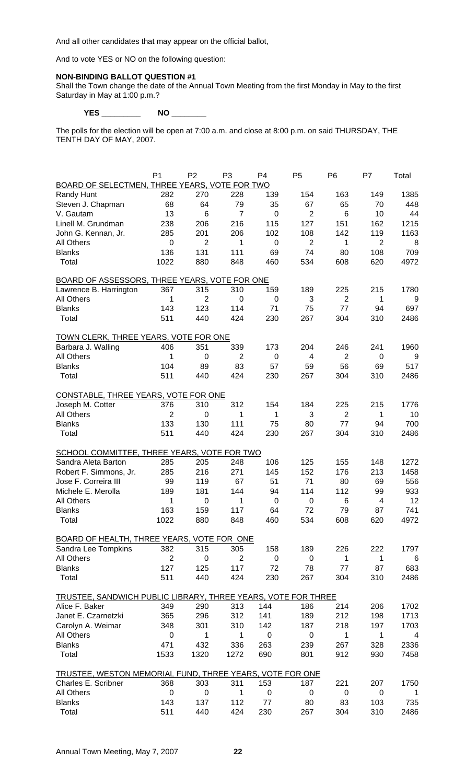And all other candidates that may appear on the official ballot,

And to vote YES or NO on the following question:

# **NON-BINDING BALLOT QUESTION #1**

Shall the Town change the date of the Annual Town Meeting from the first Monday in May to the first Saturday in May at 1:00 p.m.?

**YES \_\_\_\_\_\_\_\_\_ NO \_\_\_\_\_\_\_\_** 

The polls for the election will be open at 7:00 a.m. and close at 8:00 p.m. on said THURSDAY, THE TENTH DAY OF MAY, 2007.

|                                                               | P <sub>1</sub> | P <sub>2</sub> | P <sub>3</sub> | P <sub>4</sub>     | P <sub>5</sub>     | P <sub>6</sub> | P7             | Total |
|---------------------------------------------------------------|----------------|----------------|----------------|--------------------|--------------------|----------------|----------------|-------|
| BOARD OF SELECTMEN, THREE YEARS, VOTE FOR TWO                 |                |                |                |                    |                    |                |                |       |
| Randy Hunt                                                    | 282            | 270            | 228            | 139                | 154                | 163            | 149            | 1385  |
| Steven J. Chapman                                             | 68             | 64             | 79             | 35                 | 67                 | 65             | 70             | 448   |
| V. Gautam                                                     | 13             | 6              | $\overline{7}$ | $\mathbf 0$        | $\overline{2}$     | 6              | 10             | 44    |
| Linell M. Grundman                                            | 238            | 206            | 216            | 115                | 127                | 151            | 162            | 1215  |
| John G. Kennan, Jr.                                           | 285            | 201            | 206            | 102                | 108                | 142            | 119            | 1163  |
| <b>All Others</b>                                             | 0              | $\overline{2}$ | 1              | $\mathbf 0$        | $\overline{2}$     | 1              | $\overline{2}$ | 8     |
| <b>Blanks</b>                                                 | 136            | 131            | 111            | 69                 | 74                 | 80             | 108            | 709   |
| Total                                                         | 1022           | 880            | 848            | 460                | 534                | 608            | 620            | 4972  |
| BOARD OF ASSESSORS, THREE YEARS, VOTE FOR ONE                 |                |                |                |                    |                    |                |                |       |
| Lawrence B. Harrington                                        | 367            | 315            | 310            | 159                | 189                | 225            | 215            | 1780  |
| <b>All Others</b>                                             | 1              | $\overline{2}$ | 0              | 0                  | 3                  | $\overline{2}$ | 1              | 9     |
| <b>Blanks</b>                                                 | 143            | 123            | 114            | 71                 | 75                 | 77             | 94             | 697   |
| Total                                                         | 511            | 440            | 424            | 230                | 267                | 304            | 310            | 2486  |
| <b>TOWN CLERK, THREE YEARS, VOTE FOR ONE</b>                  |                |                |                |                    |                    |                |                |       |
| Barbara J. Walling                                            | 406            | 351            | 339            | 173                | 204                | 246            | 241            | 1960  |
| <b>All Others</b>                                             | 1              | 0              | 2              | $\mathbf 0$        | 4                  | $\overline{2}$ | 0              | 9     |
| <b>Blanks</b>                                                 | 104            | 89             | 83             | 57                 | 59                 | 56             | 69             | 517   |
| Total                                                         | 511            | 440            | 424            | 230                | 267                | 304            | 310            | 2486  |
|                                                               |                |                |                |                    |                    |                |                |       |
| CONSTABLE, THREE YEARS, VOTE FOR ONE                          |                |                |                |                    |                    |                |                |       |
| Joseph M. Cotter                                              | 376            | 310            | 312            | 154                | 184                | 225            | 215            | 1776  |
| <b>All Others</b>                                             | $\overline{2}$ | 0              | 1              | 1                  | 3                  | $\overline{2}$ | 1              | 10    |
| <b>Blanks</b>                                                 | 133            | 130            | 111            | 75                 | 80                 | 77             | 94             | 700   |
| Total                                                         | 511            | 440            | 424            | 230                | 267                | 304            | 310            | 2486  |
| SCHOOL COMMITTEE, THREE YEARS, VOTE FOR TWO                   |                |                |                |                    |                    |                |                |       |
| Sandra Aleta Barton                                           | 285            | 205            | 248            | 106                | 125                | 155            | 148            | 1272  |
| Robert F. Simmons, Jr.                                        | 285            | 216            | 271            | 145                | 152                | 176            | 213            | 1458  |
| Jose F. Correira III                                          | 99             | 119            | 67             | 51                 | 71                 | 80             | 69             | 556   |
| Michele E. Merolla                                            | 189            | 181            | 144            | 94                 | 114                | 112            | 99             | 933   |
| <b>All Others</b>                                             | 1              | $\mathbf 0$    | 1              | 0                  | $\mathbf 0$        | 6              | 4              | 12    |
| <b>Blanks</b>                                                 | 163            | 159            | 117            | 64                 | 72                 | 79             | 87             | 741   |
| Total                                                         | 1022           | 880            | 848            | 460                | 534                | 608            | 620            | 4972  |
| <b>BOARD OF HEALTH, THREE YEARS, VOTE FOR ONE</b>             |                |                |                |                    |                    |                |                |       |
| Sandra Lee Tompkins                                           | 382            | 315            | 305            | 158                | 189                | 226            | 222            | 1797  |
| <b>All Others</b>                                             | $\overline{2}$ | 0              | $\overline{2}$ | 0                  | $\mathbf 0$        | $\mathbf 1$    | 1              | 6     |
| <b>Blanks</b>                                                 | 127            | 125            | 117            | 72                 | 78                 | 77             | 87             | 683   |
| Total                                                         | 511            | 440            | 424            | 230                | 267                | 304            | 310            | 2486  |
| TRUSTEE, SANDWICH PUBLIC LIBRARY, THREE YEARS, VOTE FOR THREE |                |                |                |                    |                    |                |                |       |
| Alice F. Baker                                                | 349            | 290            | 313            | 144                | 186                | 214            | 206            | 1702  |
| Janet E. Czarnetzki                                           | 365            | 296            | 312            | 141                | 189                | 212            | 198            | 1713  |
|                                                               |                | 301            |                | 142                | 187                | 218            | 197            |       |
| Carolyn A. Weimar                                             | 348            |                | 310            |                    |                    |                |                | 1703  |
| <b>All Others</b><br><b>Blanks</b>                            | 0<br>471       | 1              | 1              | $\mathbf 0$<br>263 | $\mathbf 0$<br>239 | 1<br>267       | 1              | 4     |
|                                                               |                | 432            | 336            |                    |                    |                | 328            | 2336  |
| Total                                                         | 1533           | 1320           | 1272           | 690                | 801                | 912            | 930            | 7458  |
| TRUSTEE, WESTON MEMORIAL FUND, THREE YEARS, VOTE FOR ONE      |                |                |                |                    |                    |                |                |       |
| Charles E. Scribner                                           | 368            | 303            | 311            | 153                | 187                | 221            | 207            | 1750  |
| <b>All Others</b>                                             | 0              | $\mathbf 0$    | 1              | 0                  | $\mathbf 0$        | 0              | $\pmb{0}$      | 1     |
| <b>Blanks</b>                                                 | 143            | 137            | 112            | 77                 | 80                 | 83             | 103            | 735   |
| Total                                                         | 511            | 440            | 424            | 230                | 267                | 304            | 310            | 2486  |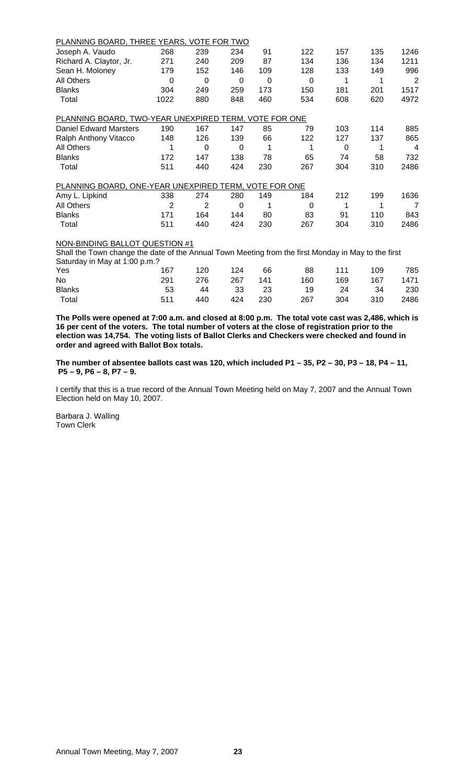| <u>PLANNING BOARD, THREE YEARS, VOTE FOR TWO</u>      |                |                |          |     |          |     |     |                |
|-------------------------------------------------------|----------------|----------------|----------|-----|----------|-----|-----|----------------|
| Joseph A. Vaudo                                       | 268            | 239            | 234      | 91  | 122      | 157 | 135 | 1246           |
| Richard A. Claytor, Jr.                               | 271            | 240            | 209      | 87  | 134      | 136 | 134 | 1211           |
| Sean H. Moloney                                       | 179            | 152            | 146      | 109 | 128      | 133 | 149 | 996            |
| <b>All Others</b>                                     | $\Omega$       | $\Omega$       | 0        | 0   | $\Omega$ | 1   | 1   | 2              |
| <b>Blanks</b>                                         | 304            | 249            | 259      | 173 | 150      | 181 | 201 | 1517           |
| Total                                                 | 1022           | 880            | 848      | 460 | 534      | 608 | 620 | 4972           |
| PLANNING BOARD, TWO-YEAR UNEXPIRED TERM, VOTE FOR ONE |                |                |          |     |          |     |     |                |
| <b>Daniel Edward Marsters</b>                         | 190            | 167            | 147      | 85  | 79       | 103 | 114 | 885            |
| Ralph Anthony Vitacco                                 | 148            | 126            | 139      | 66  | 122      | 127 | 137 | 865            |
| <b>All Others</b>                                     |                | 0              | 0        | 1   | 1        | 0   | 1   | 4              |
| <b>Blanks</b>                                         | 172            | 147            | 138      | 78  | 65       | 74  | 58  | 732            |
| Total                                                 | 511            | 440            | 424      | 230 | 267      | 304 | 310 | 2486           |
| PLANNING BOARD, ONE-YEAR UNEXPIRED TERM, VOTE FOR ONE |                |                |          |     |          |     |     |                |
| Amy L. Lipkind                                        | 338            | 274            | 280      | 149 | 184      | 212 | 199 | 1636           |
| <b>All Others</b>                                     | $\overline{2}$ | $\overline{2}$ | $\Omega$ |     | $\Omega$ |     | 1   | $\overline{7}$ |
| <b>Blanks</b>                                         | 171            | 164            | 144      | 80  | 83       | 91  | 110 | 843            |
| Total                                                 | 511            | 440            | 424      | 230 | 267      | 304 | 310 | 2486           |
| NON-BINDING BALLOT QUESTION #1                        |                |                |          |     |          |     |     |                |

Shall the Town change the date of the Annual Town Meeting from the first Monday in May to the first Saturday in May at 1:00 p.m.?

| ____<br>Yes   | 167 | 120 | 124 | 66  | 88             | 111 | 109 | 785  |
|---------------|-----|-----|-----|-----|----------------|-----|-----|------|
| No            | 291 | 276 | 267 | 141 | 160            | 169 | 167 | 1471 |
| <b>Blanks</b> | 53  |     |     |     | 44 33 23 19 24 |     | 34  | -230 |
| Total         | 511 | 440 | 424 | 230 | 267            | 304 | 310 | 2486 |

**The Polls were opened at 7:00 a.m. and closed at 8:00 p.m. The total vote cast was 2,486, which is 16 per cent of the voters. The total number of voters at the close of registration prior to the election was 14,754. The voting lists of Ballot Clerks and Checkers were checked and found in order and agreed with Ballot Box totals.** 

**The number of absentee ballots cast was 120, which included P1 – 35, P2 – 30, P3 – 18, P4 – 11, P5 – 9, P6 – 8, P7 – 9.** 

I certify that this is a true record of the Annual Town Meeting held on May 7, 2007 and the Annual Town Election held on May 10, 2007.

Barbara J. Walling Town Clerk